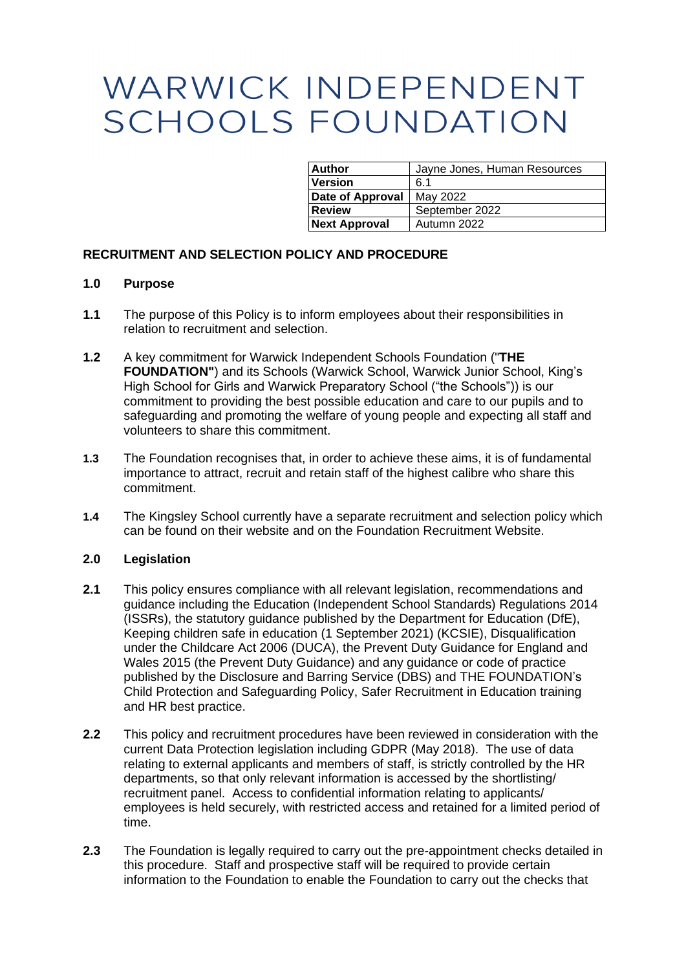# WARWICK INDEPENDENT **SCHOOLS FOUNDATION**

| <b>Author</b>        | Jayne Jones, Human Resources |
|----------------------|------------------------------|
| <b>Version</b>       | 6.1                          |
| Date of Approval     | May 2022                     |
| <b>Review</b>        | September 2022               |
| <b>Next Approval</b> | Autumn 2022                  |

# **RECRUITMENT AND SELECTION POLICY AND PROCEDURE**

# **1.0 Purpose**

- **1.1** The purpose of this Policy is to inform employees about their responsibilities in relation to recruitment and selection.
- **1.2** A key commitment for Warwick Independent Schools Foundation ("**THE FOUNDATION"**) and its Schools (Warwick School, Warwick Junior School, King's High School for Girls and Warwick Preparatory School ("the Schools")) is our commitment to providing the best possible education and care to our pupils and to safeguarding and promoting the welfare of young people and expecting all staff and volunteers to share this commitment.
- **1.3** The Foundation recognises that, in order to achieve these aims, it is of fundamental importance to attract, recruit and retain staff of the highest calibre who share this commitment.
- **1.4** The Kingsley School currently have a separate recruitment and selection policy which can be found on their website and on the Foundation Recruitment Website.

# **2.0 Legislation**

- **2.1** This policy ensures compliance with all relevant legislation, recommendations and guidance including the Education (Independent School Standards) Regulations 2014 (ISSRs), the statutory guidance published by the Department for Education (DfE), Keeping children safe in education (1 September 2021) (KCSIE), Disqualification under the Childcare Act 2006 (DUCA), the Prevent Duty Guidance for England and Wales 2015 (the Prevent Duty Guidance) and any guidance or code of practice published by the Disclosure and Barring Service (DBS) and THE FOUNDATION's Child Protection and Safeguarding Policy, Safer Recruitment in Education training and HR best practice.
- **2.2** This policy and recruitment procedures have been reviewed in consideration with the current Data Protection legislation including GDPR (May 2018). The use of data relating to external applicants and members of staff, is strictly controlled by the HR departments, so that only relevant information is accessed by the shortlisting/ recruitment panel. Access to confidential information relating to applicants/ employees is held securely, with restricted access and retained for a limited period of time.
- **2.3** The Foundation is legally required to carry out the pre-appointment checks detailed in this procedure. Staff and prospective staff will be required to provide certain information to the Foundation to enable the Foundation to carry out the checks that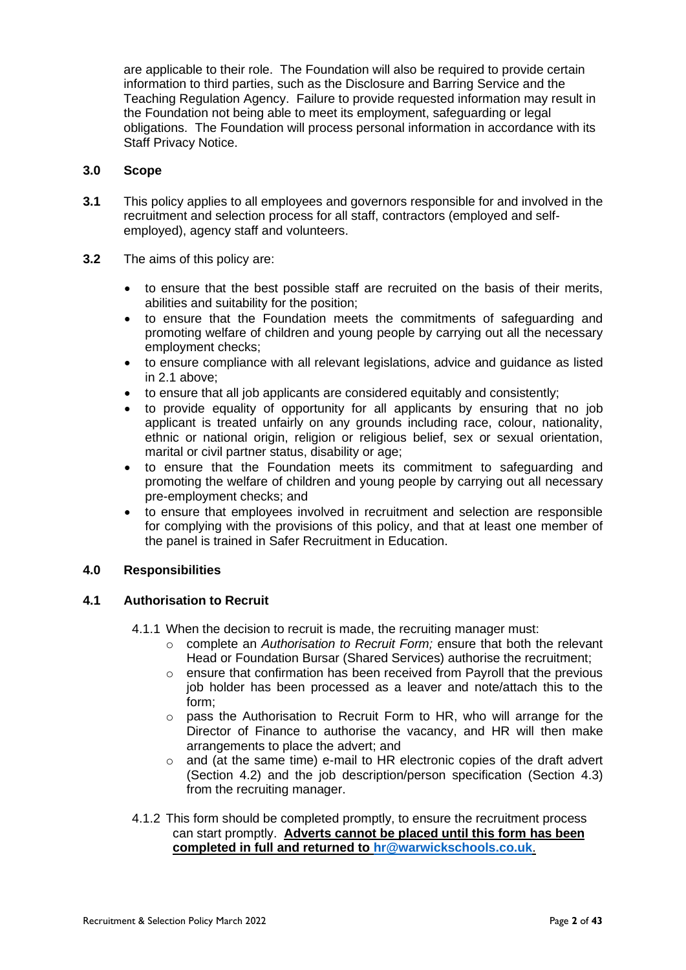are applicable to their role. The Foundation will also be required to provide certain information to third parties, such as the Disclosure and Barring Service and the Teaching Regulation Agency. Failure to provide requested information may result in the Foundation not being able to meet its employment, safeguarding or legal obligations. The Foundation will process personal information in accordance with its Staff Privacy Notice.

# **3.0 Scope**

- **3.1** This policy applies to all employees and governors responsible for and involved in the recruitment and selection process for all staff, contractors (employed and selfemployed), agency staff and volunteers.
- **3.2** The aims of this policy are:
	- to ensure that the best possible staff are recruited on the basis of their merits, abilities and suitability for the position;
	- to ensure that the Foundation meets the commitments of safeguarding and promoting welfare of children and young people by carrying out all the necessary employment checks;
	- to ensure compliance with all relevant legislations, advice and guidance as listed in 2.1 above;
	- to ensure that all job applicants are considered equitably and consistently;
	- to provide equality of opportunity for all applicants by ensuring that no job applicant is treated unfairly on any grounds including race, colour, nationality, ethnic or national origin, religion or religious belief, sex or sexual orientation, marital or civil partner status, disability or age;
	- to ensure that the Foundation meets its commitment to safeguarding and promoting the welfare of children and young people by carrying out all necessary pre-employment checks; and
	- to ensure that employees involved in recruitment and selection are responsible for complying with the provisions of this policy, and that at least one member of the panel is trained in Safer Recruitment in Education.

# **4.0 Responsibilities**

# **4.1 Authorisation to Recruit**

- 4.1.1 When the decision to recruit is made, the recruiting manager must:
	- o complete an *Authorisation to Recruit Form;* ensure that both the relevant Head or Foundation Bursar (Shared Services) authorise the recruitment;
	- o ensure that confirmation has been received from Payroll that the previous job holder has been processed as a leaver and note/attach this to the form;
	- $\circ$  pass the Authorisation to Recruit Form to HR, who will arrange for the Director of Finance to authorise the vacancy, and HR will then make arrangements to place the advert; and
	- $\circ$  and (at the same time) e-mail to HR electronic copies of the draft advert (Section [4.2\)](#page-2-0) and the job description/person specification (Section [4.3\)](#page-3-0) from the recruiting manager.
- 4.1.2 This form should be completed promptly, to ensure the recruitment process can start promptly. **Adverts cannot be placed until this form has been completed in full and returned to [hr@warwickschools.co.uk](mailto:hr@warwickschools.co.uk)**.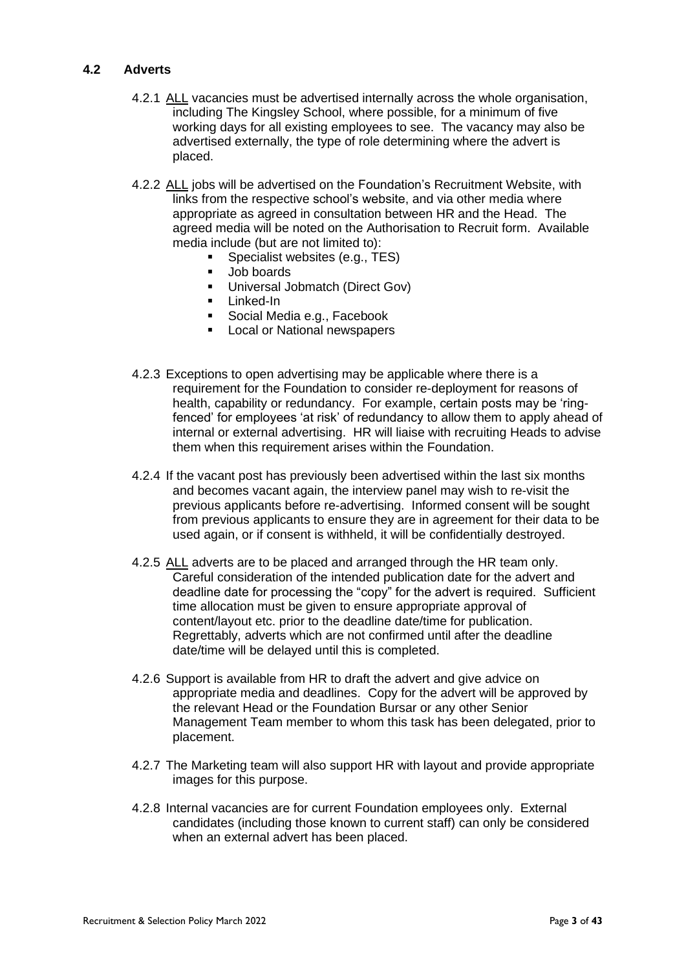# <span id="page-2-0"></span>**4.2 Adverts**

- 4.2.1 ALL vacancies must be advertised internally across the whole organisation, including The Kingsley School, where possible, for a minimum of five working days for all existing employees to see. The vacancy may also be advertised externally, the type of role determining where the advert is placed.
- 4.2.2 ALL jobs will be advertised on the Foundation's Recruitment Website, with links from the respective school's website, and via other media where appropriate as agreed in consultation between HR and the Head. The agreed media will be noted on the Authorisation to Recruit form. Available media include (but are not limited to):
	- Specialist websites (e.g., TES)
		- Job boards
	- **■** Universal Jobmatch (Direct Gov)
	- Linked-In
	- Social Media e.g., Facebook
	- Local or National newspapers
- 4.2.3 Exceptions to open advertising may be applicable where there is a requirement for the Foundation to consider re-deployment for reasons of health, capability or redundancy. For example, certain posts may be 'ringfenced' for employees 'at risk' of redundancy to allow them to apply ahead of internal or external advertising. HR will liaise with recruiting Heads to advise them when this requirement arises within the Foundation.
- 4.2.4 If the vacant post has previously been advertised within the last six months and becomes vacant again, the interview panel may wish to re-visit the previous applicants before re-advertising. Informed consent will be sought from previous applicants to ensure they are in agreement for their data to be used again, or if consent is withheld, it will be confidentially destroyed.
- 4.2.5 ALL adverts are to be placed and arranged through the HR team only. Careful consideration of the intended publication date for the advert and deadline date for processing the "copy" for the advert is required. Sufficient time allocation must be given to ensure appropriate approval of content/layout etc. prior to the deadline date/time for publication. Regrettably, adverts which are not confirmed until after the deadline date/time will be delayed until this is completed.
- 4.2.6 Support is available from HR to draft the advert and give advice on appropriate media and deadlines. Copy for the advert will be approved by the relevant Head or the Foundation Bursar or any other Senior Management Team member to whom this task has been delegated, prior to placement.
- 4.2.7 The Marketing team will also support HR with layout and provide appropriate images for this purpose.
- 4.2.8 Internal vacancies are for current Foundation employees only. External candidates (including those known to current staff) can only be considered when an external advert has been placed.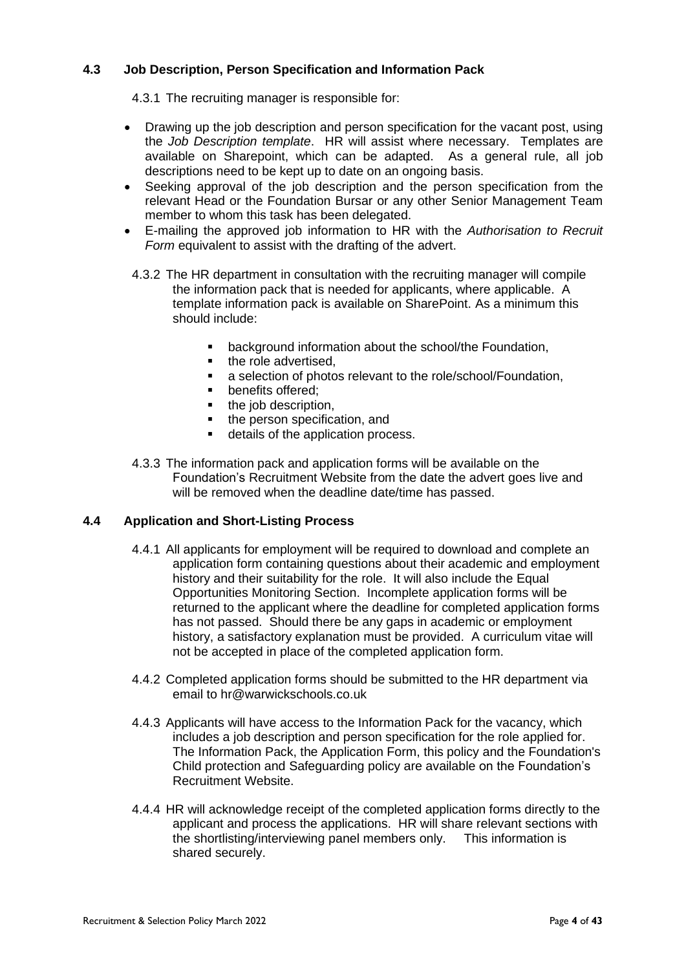# <span id="page-3-0"></span>**4.3 Job Description, Person Specification and Information Pack**

4.3.1 The recruiting manager is responsible for:

- Drawing up the job description and person specification for the vacant post, using the *Job Description template*. HR will assist where necessary. Templates are available on Sharepoint, which can be adapted. As a general rule, all job descriptions need to be kept up to date on an ongoing basis.
- Seeking approval of the job description and the person specification from the relevant Head or the Foundation Bursar or any other Senior Management Team member to whom this task has been delegated.
- E-mailing the approved job information to HR with the *Authorisation to Recruit Form* equivalent to assist with the drafting of the advert.
- 4.3.2 The HR department in consultation with the recruiting manager will compile the information pack that is needed for applicants, where applicable. A template information pack is available on SharePoint. As a minimum this should include:
	- background information about the school/the Foundation,
	- the role advertised.
	- a selection of photos relevant to the role/school/Foundation,
	- benefits offered:
	- the job description,
	- the person specification, and
	- details of the application process.
- 4.3.3 The information pack and application forms will be available on the Foundation's Recruitment Website from the date the advert goes live and will be removed when the deadline date/time has passed.

# **4.4 Application and Short-Listing Process**

- 4.4.1 All applicants for employment will be required to download and complete an application form containing questions about their academic and employment history and their suitability for the role. It will also include the Equal Opportunities Monitoring Section. Incomplete application forms will be returned to the applicant where the deadline for completed application forms has not passed. Should there be any gaps in academic or employment history, a satisfactory explanation must be provided. A curriculum vitae will not be accepted in place of the completed application form.
- 4.4.2 Completed application forms should be submitted to the HR department via email to hr@warwickschools.co.uk
- 4.4.3 Applicants will have access to the Information Pack for the vacancy, which includes a job description and person specification for the role applied for. The Information Pack, the Application Form, this policy and the Foundation's Child protection and Safeguarding policy are available on the Foundation's Recruitment Website.
- 4.4.4 HR will acknowledge receipt of the completed application forms directly to the applicant and process the applications. HR will share relevant sections with the shortlisting/interviewing panel members only. This information is shared securely.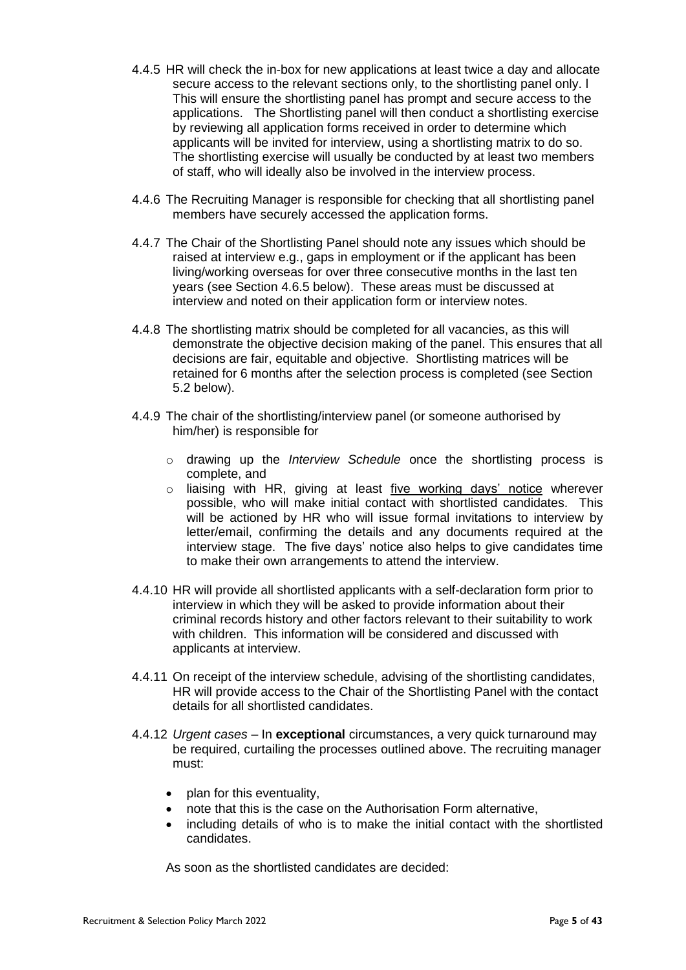- 4.4.5 HR will check the in-box for new applications at least twice a day and allocate secure access to the relevant sections only, to the shortlisting panel only. l This will ensure the shortlisting panel has prompt and secure access to the applications. The Shortlisting panel will then conduct a shortlisting exercise by reviewing all application forms received in order to determine which applicants will be invited for interview, using a shortlisting matrix to do so. The shortlisting exercise will usually be conducted by at least two members of staff, who will ideally also be involved in the interview process.
- 4.4.6 The Recruiting Manager is responsible for checking that all shortlisting panel members have securely accessed the application forms.
- 4.4.7 The Chair of the Shortlisting Panel should note any issues which should be raised at interview e.g., gaps in employment or if the applicant has been living/working overseas for over three consecutive months in the last ten years (see Section [4.6.5](#page-8-0) below). These areas must be discussed at interview and noted on their application form or interview notes.
- 4.4.8 The shortlisting matrix should be completed for all vacancies, as this will demonstrate the objective decision making of the panel. This ensures that all decisions are fair, equitable and objective. Shortlisting matrices will be retained for 6 months after the selection process is completed (see Section [5.2](#page-22-0) below).
- 4.4.9 The chair of the shortlisting/interview panel (or someone authorised by him/her) is responsible for
	- o drawing up the *Interview Schedule* once the shortlisting process is complete, and
	- $\circ$  liaising with HR, giving at least five working days' notice wherever possible, who will make initial contact with shortlisted candidates. This will be actioned by HR who will issue formal invitations to interview by letter/email, confirming the details and any documents required at the interview stage. The five days' notice also helps to give candidates time to make their own arrangements to attend the interview.
- 4.4.10 HR will provide all shortlisted applicants with a self-declaration form prior to interview in which they will be asked to provide information about their criminal records history and other factors relevant to their suitability to work with children. This information will be considered and discussed with applicants at interview.
- 4.4.11 On receipt of the interview schedule, advising of the shortlisting candidates, HR will provide access to the Chair of the Shortlisting Panel with the contact details for all shortlisted candidates.
- 4.4.12 *Urgent cases –* In **exceptional** circumstances, a very quick turnaround may be required, curtailing the processes outlined above. The recruiting manager must:
	- plan for this eventuality,
	- note that this is the case on the Authorisation Form alternative,
	- including details of who is to make the initial contact with the shortlisted candidates.

As soon as the shortlisted candidates are decided: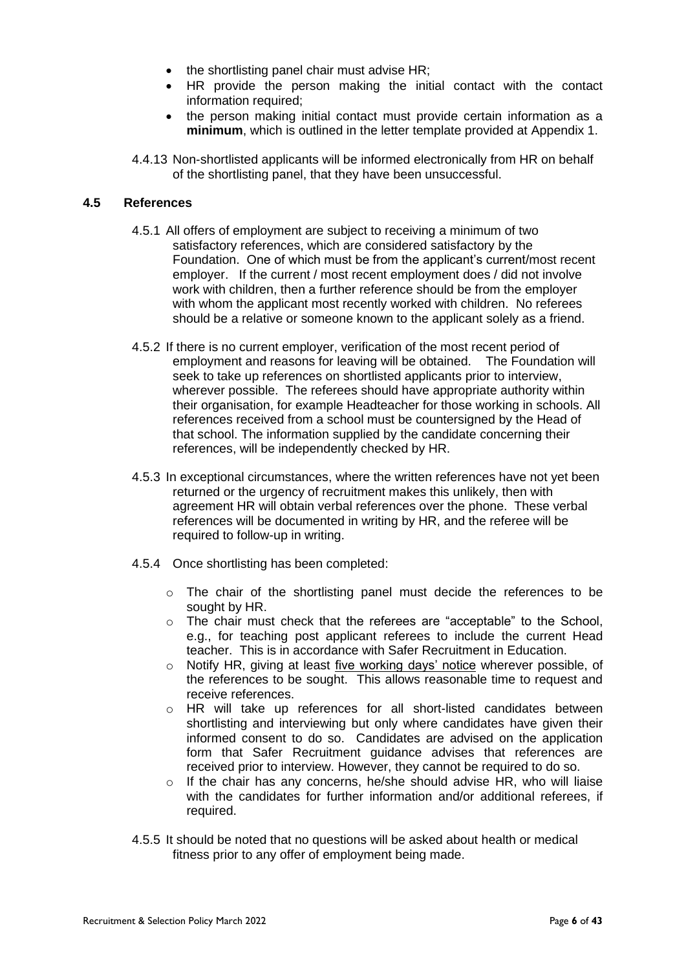- the shortlisting panel chair must advise HR;
- HR provide the person making the initial contact with the contact information required:
- the person making initial contact must provide certain information as a **minimum**, which is outlined in the letter template provided at Appendix 1.
- 4.4.13 Non-shortlisted applicants will be informed electronically from HR on behalf of the shortlisting panel, that they have been unsuccessful.

# **4.5 References**

- 4.5.1 All offers of employment are subject to receiving a minimum of two satisfactory references, which are considered satisfactory by the Foundation. One of which must be from the applicant's current/most recent employer. If the current / most recent employment does / did not involve work with children, then a further reference should be from the employer with whom the applicant most recently worked with children. No referees should be a relative or someone known to the applicant solely as a friend.
- 4.5.2 If there is no current employer, verification of the most recent period of employment and reasons for leaving will be obtained. The Foundation will seek to take up references on shortlisted applicants prior to interview, wherever possible. The referees should have appropriate authority within their organisation, for example Headteacher for those working in schools. All references received from a school must be countersigned by the Head of that school. The information supplied by the candidate concerning their references, will be independently checked by HR.
- 4.5.3 In exceptional circumstances, where the written references have not yet been returned or the urgency of recruitment makes this unlikely, then with agreement HR will obtain verbal references over the phone. These verbal references will be documented in writing by HR, and the referee will be required to follow-up in writing.
- 4.5.4 Once shortlisting has been completed:
	- o The chair of the shortlisting panel must decide the references to be sought by HR.
	- $\circ$  The chair must check that the referees are "acceptable" to the School, e.g., for teaching post applicant referees to include the current Head teacher. This is in accordance with Safer Recruitment in Education.
	- o Notify HR, giving at least five working days' notice wherever possible, of the references to be sought. This allows reasonable time to request and receive references.
	- $\circ$  HR will take up references for all short-listed candidates between shortlisting and interviewing but only where candidates have given their informed consent to do so. Candidates are advised on the application form that Safer Recruitment guidance advises that references are received prior to interview. However, they cannot be required to do so.
	- o If the chair has any concerns, he/she should advise HR, who will liaise with the candidates for further information and/or additional referees, if required.
- 4.5.5 It should be noted that no questions will be asked about health or medical fitness prior to any offer of employment being made.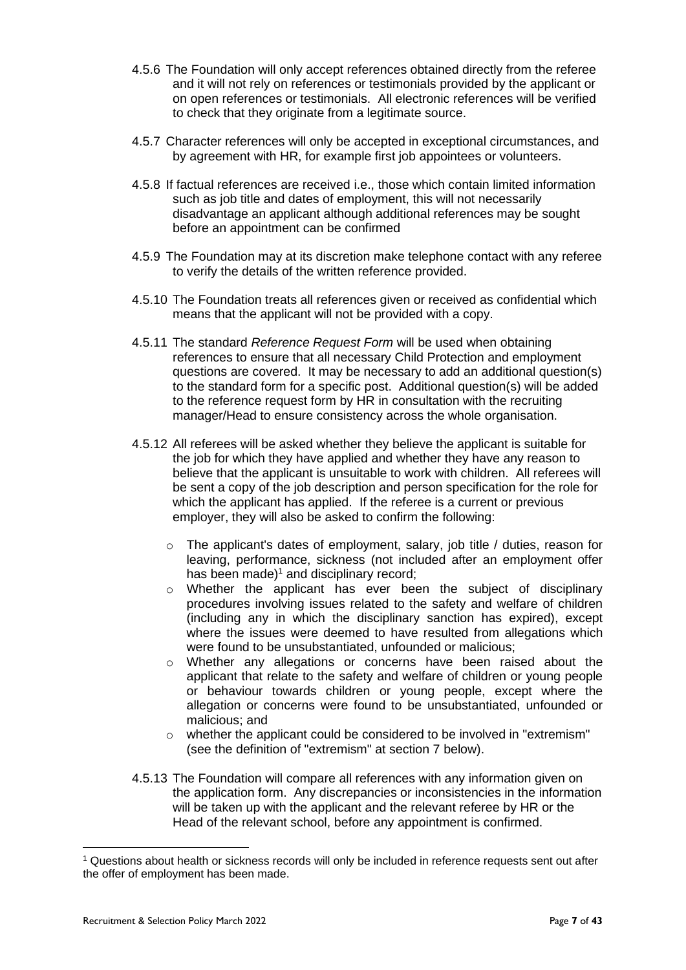- 4.5.6 The Foundation will only accept references obtained directly from the referee and it will not rely on references or testimonials provided by the applicant or on open references or testimonials. All electronic references will be verified to check that they originate from a legitimate source.
- 4.5.7 Character references will only be accepted in exceptional circumstances, and by agreement with HR, for example first job appointees or volunteers.
- 4.5.8 If factual references are received i.e., those which contain limited information such as job title and dates of employment, this will not necessarily disadvantage an applicant although additional references may be sought before an appointment can be confirmed
- 4.5.9 The Foundation may at its discretion make telephone contact with any referee to verify the details of the written reference provided.
- 4.5.10 The Foundation treats all references given or received as confidential which means that the applicant will not be provided with a copy.
- 4.5.11 The standard *Reference Request Form* will be used when obtaining references to ensure that all necessary Child Protection and employment questions are covered. It may be necessary to add an additional question(s) to the standard form for a specific post. Additional question(s) will be added to the reference request form by HR in consultation with the recruiting manager/Head to ensure consistency across the whole organisation.
- 4.5.12 All referees will be asked whether they believe the applicant is suitable for the job for which they have applied and whether they have any reason to believe that the applicant is unsuitable to work with children. All referees will be sent a copy of the job description and person specification for the role for which the applicant has applied. If the referee is a current or previous employer, they will also be asked to confirm the following:
	- o The applicant's dates of employment, salary, job title / duties, reason for leaving, performance, sickness (not included after an employment offer has been made) $1$  and disciplinary record;
	- o Whether the applicant has ever been the subject of disciplinary procedures involving issues related to the safety and welfare of children (including any in which the disciplinary sanction has expired), except where the issues were deemed to have resulted from allegations which were found to be unsubstantiated, unfounded or malicious;
	- o Whether any allegations or concerns have been raised about the applicant that relate to the safety and welfare of children or young people or behaviour towards children or young people, except where the allegation or concerns were found to be unsubstantiated, unfounded or malicious; and
	- o whether the applicant could be considered to be involved in "extremism" (see the definition of "extremism" at section 7 below).
- 4.5.13 The Foundation will compare all references with any information given on the application form. Any discrepancies or inconsistencies in the information will be taken up with the applicant and the relevant referee by HR or the Head of the relevant school, before any appointment is confirmed.

<sup>1</sup> Questions about health or sickness records will only be included in reference requests sent out after the offer of employment has been made.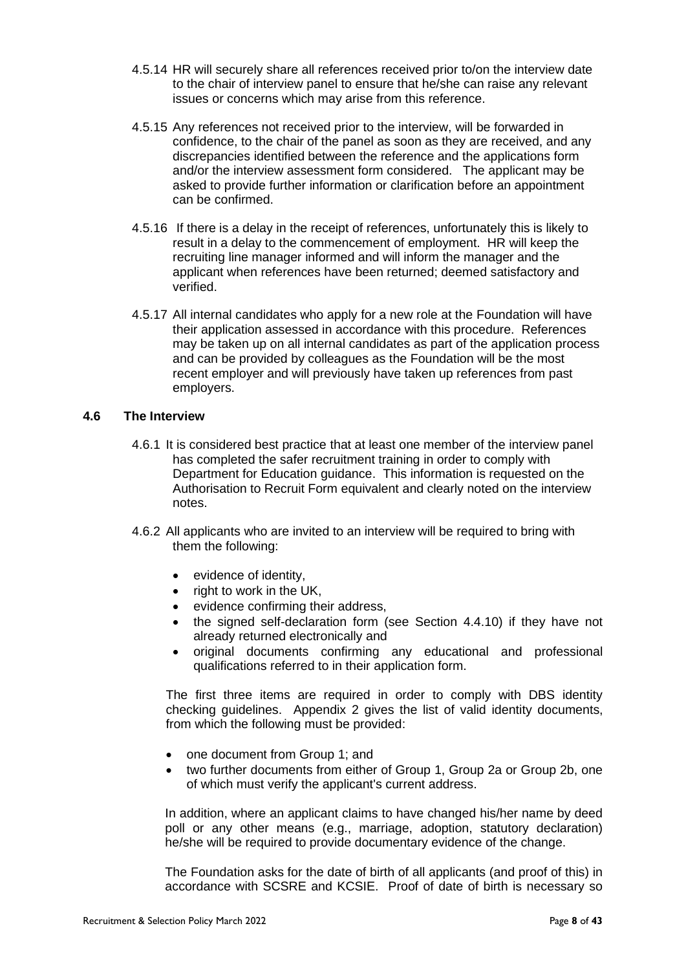- 4.5.14 HR will securely share all references received prior to/on the interview date to the chair of interview panel to ensure that he/she can raise any relevant issues or concerns which may arise from this reference.
- 4.5.15 Any references not received prior to the interview, will be forwarded in confidence, to the chair of the panel as soon as they are received, and any discrepancies identified between the reference and the applications form and/or the interview assessment form considered. The applicant may be asked to provide further information or clarification before an appointment can be confirmed.
- 4.5.16 If there is a delay in the receipt of references, unfortunately this is likely to result in a delay to the commencement of employment. HR will keep the recruiting line manager informed and will inform the manager and the applicant when references have been returned; deemed satisfactory and verified.
- 4.5.17 All internal candidates who apply for a new role at the Foundation will have their application assessed in accordance with this procedure. References may be taken up on all internal candidates as part of the application process and can be provided by colleagues as the Foundation will be the most recent employer and will previously have taken up references from past employers.

# **4.6 The Interview**

- 4.6.1 It is considered best practice that at least one member of the interview panel has completed the safer recruitment training in order to comply with Department for Education guidance. This information is requested on the Authorisation to Recruit Form equivalent and clearly noted on the interview notes.
- 4.6.2 All applicants who are invited to an interview will be required to bring with them the following:
	- evidence of identity,
	- right to work in the UK,
	- evidence confirming their address,
	- the signed self-declaration form (see Section 4.4.10) if they have not already returned electronically and
	- original documents confirming any educational and professional qualifications referred to in their application form.

The first three items are required in order to comply with DBS identity checking guidelines. Appendix 2 gives the list of valid identity documents, from which the following must be provided:

- one document from Group 1; and
- two further documents from either of Group 1, Group 2a or Group 2b, one of which must verify the applicant's current address.

In addition, where an applicant claims to have changed his/her name by deed poll or any other means (e.g., marriage, adoption, statutory declaration) he/she will be required to provide documentary evidence of the change.

The Foundation asks for the date of birth of all applicants (and proof of this) in accordance with SCSRE and KCSIE. Proof of date of birth is necessary so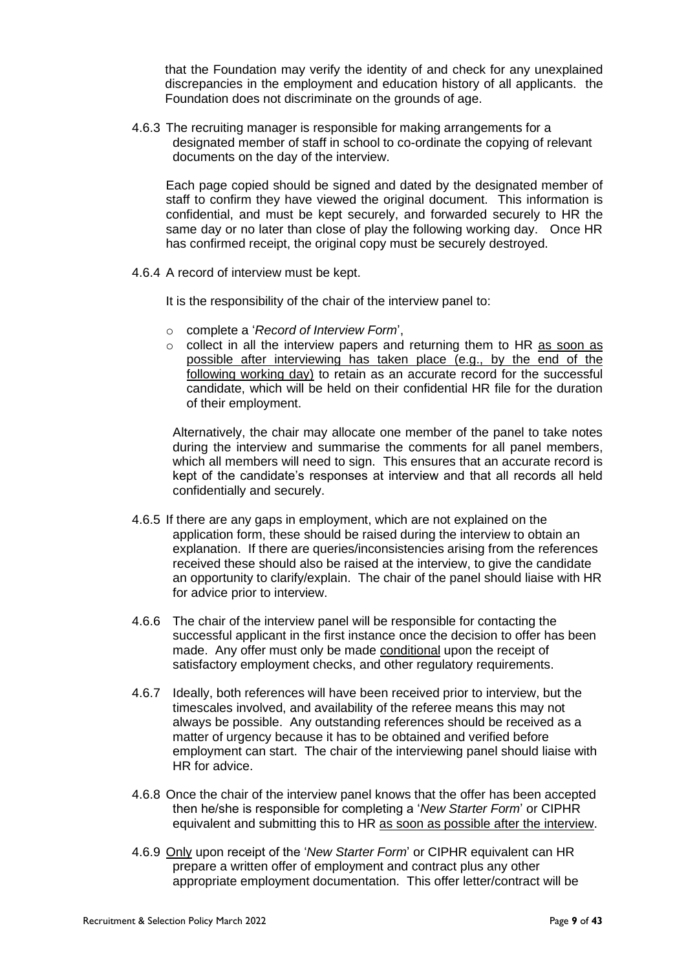that the Foundation may verify the identity of and check for any unexplained discrepancies in the employment and education history of all applicants. the Foundation does not discriminate on the grounds of age.

4.6.3 The recruiting manager is responsible for making arrangements for a designated member of staff in school to co-ordinate the copying of relevant documents on the day of the interview.

Each page copied should be signed and dated by the designated member of staff to confirm they have viewed the original document. This information is confidential, and must be kept securely, and forwarded securely to HR the same day or no later than close of play the following working day. Once HR has confirmed receipt, the original copy must be securely destroyed.

4.6.4 A record of interview must be kept.

It is the responsibility of the chair of the interview panel to:

- o complete a '*Record of Interview Form*',
- $\circ$  collect in all the interview papers and returning them to HR as soon as possible after interviewing has taken place (e.g., by the end of the following working day) to retain as an accurate record for the successful candidate, which will be held on their confidential HR file for the duration of their employment.

Alternatively, the chair may allocate one member of the panel to take notes during the interview and summarise the comments for all panel members, which all members will need to sign. This ensures that an accurate record is kept of the candidate's responses at interview and that all records all held confidentially and securely.

- <span id="page-8-0"></span>4.6.5 If there are any gaps in employment, which are not explained on the application form, these should be raised during the interview to obtain an explanation. If there are queries/inconsistencies arising from the references received these should also be raised at the interview, to give the candidate an opportunity to clarify/explain. The chair of the panel should liaise with HR for advice prior to interview.
- 4.6.6 The chair of the interview panel will be responsible for contacting the successful applicant in the first instance once the decision to offer has been made. Any offer must only be made conditional upon the receipt of satisfactory employment checks, and other regulatory requirements.
- 4.6.7 Ideally, both references will have been received prior to interview, but the timescales involved, and availability of the referee means this may not always be possible. Any outstanding references should be received as a matter of urgency because it has to be obtained and verified before employment can start. The chair of the interviewing panel should liaise with HR for advice.
- 4.6.8 Once the chair of the interview panel knows that the offer has been accepted then he/she is responsible for completing a '*New Starter Form*' or CIPHR equivalent and submitting this to HR as soon as possible after the interview.
- 4.6.9 Only upon receipt of the '*New Starter Form*' or CIPHR equivalent can HR prepare a written offer of employment and contract plus any other appropriate employment documentation. This offer letter/contract will be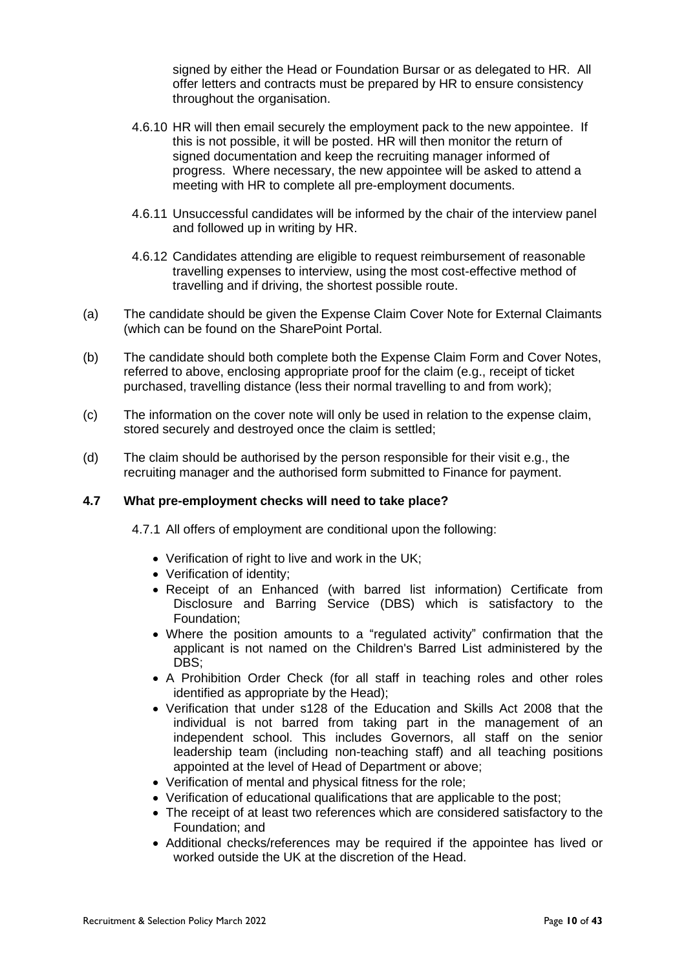signed by either the Head or Foundation Bursar or as delegated to HR. All offer letters and contracts must be prepared by HR to ensure consistency throughout the organisation.

- 4.6.10 HR will then email securely the employment pack to the new appointee. If this is not possible, it will be posted. HR will then monitor the return of signed documentation and keep the recruiting manager informed of progress. Where necessary, the new appointee will be asked to attend a meeting with HR to complete all pre-employment documents.
- 4.6.11 Unsuccessful candidates will be informed by the chair of the interview panel and followed up in writing by HR.
- 4.6.12 Candidates attending are eligible to request reimbursement of reasonable travelling expenses to interview, using the most cost-effective method of travelling and if driving, the shortest possible route.
- (a) The candidate should be given the Expense Claim Cover Note for External Claimants (which can be found on the SharePoint Portal.
- (b) The candidate should both complete both the Expense Claim Form and Cover Notes, referred to above, enclosing appropriate proof for the claim (e.g., receipt of ticket purchased, travelling distance (less their normal travelling to and from work);
- (c) The information on the cover note will only be used in relation to the expense claim, stored securely and destroyed once the claim is settled;
- (d) The claim should be authorised by the person responsible for their visit e.g., the recruiting manager and the authorised form submitted to Finance for payment.

## **4.7 What pre-employment checks will need to take place?**

4.7.1 All offers of employment are conditional upon the following:

- Verification of right to live and work in the UK;
- Verification of identity;
- Receipt of an Enhanced (with barred list information) Certificate from Disclosure and Barring Service (DBS) which is satisfactory to the Foundation;
- Where the position amounts to a "regulated activity" confirmation that the applicant is not named on the Children's Barred List administered by the DBS:
- A Prohibition Order Check (for all staff in teaching roles and other roles identified as appropriate by the Head);
- Verification that under s128 of the Education and Skills Act 2008 that the individual is not barred from taking part in the management of an independent school. This includes Governors, all staff on the senior leadership team (including non-teaching staff) and all teaching positions appointed at the level of Head of Department or above;
- Verification of mental and physical fitness for the role;
- Verification of educational qualifications that are applicable to the post;
- The receipt of at least two references which are considered satisfactory to the Foundation; and
- Additional checks/references may be required if the appointee has lived or worked outside the UK at the discretion of the Head.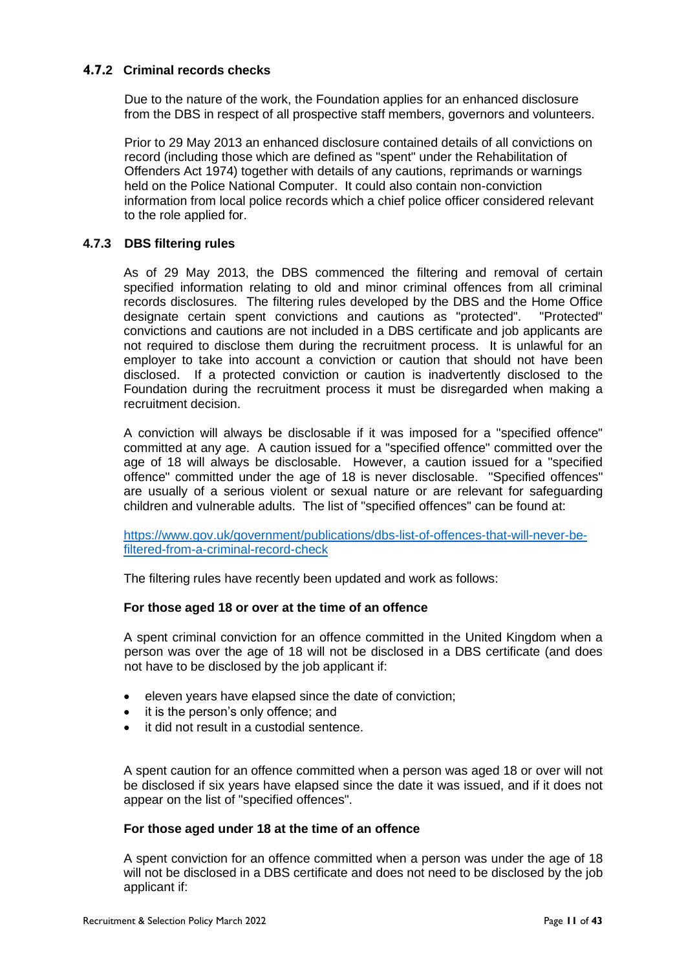# **4.7.2 Criminal records checks**

Due to the nature of the work, the Foundation applies for an enhanced disclosure from the DBS in respect of all prospective staff members, governors and volunteers.

Prior to 29 May 2013 an enhanced disclosure contained details of all convictions on record (including those which are defined as "spent" under the Rehabilitation of Offenders Act 1974) together with details of any cautions, reprimands or warnings held on the Police National Computer. It could also contain non-conviction information from local police records which a chief police officer considered relevant to the role applied for.

#### **4.7.3 DBS filtering rules**

As of 29 May 2013, the DBS commenced the filtering and removal of certain specified information relating to old and minor criminal offences from all criminal records disclosures. The filtering rules developed by the DBS and the Home Office designate certain spent convictions and cautions as "protected". "Protected" convictions and cautions are not included in a DBS certificate and job applicants are not required to disclose them during the recruitment process. It is unlawful for an employer to take into account a conviction or caution that should not have been disclosed. If a protected conviction or caution is inadvertently disclosed to the Foundation during the recruitment process it must be disregarded when making a recruitment decision.

A conviction will always be disclosable if it was imposed for a "specified offence" committed at any age. A caution issued for a "specified offence" committed over the age of 18 will always be disclosable. However, a caution issued for a "specified offence" committed under the age of 18 is never disclosable. "Specified offences" are usually of a serious violent or sexual nature or are relevant for safeguarding children and vulnerable adults. The list of "specified offences" can be found at:

[https://www.gov.uk/government/publications/dbs-list-of-offences-that-will-never-be](https://www.gov.uk/government/publications/dbs-list-of-offences-that-will-never-be-filtered-from-a-criminal-record-check)[filtered-from-a-criminal-record-check](https://www.gov.uk/government/publications/dbs-list-of-offences-that-will-never-be-filtered-from-a-criminal-record-check)

The filtering rules have recently been updated and work as follows:

#### **For those aged 18 or over at the time of an offence**

A spent criminal conviction for an offence committed in the United Kingdom when a person was over the age of 18 will not be disclosed in a DBS certificate (and does not have to be disclosed by the job applicant if:

- eleven years have elapsed since the date of conviction;
- it is the person's only offence; and
- it did not result in a custodial sentence.

A spent caution for an offence committed when a person was aged 18 or over will not be disclosed if six years have elapsed since the date it was issued, and if it does not appear on the list of "specified offences".

#### **For those aged under 18 at the time of an offence**

A spent conviction for an offence committed when a person was under the age of 18 will not be disclosed in a DBS certificate and does not need to be disclosed by the job applicant if: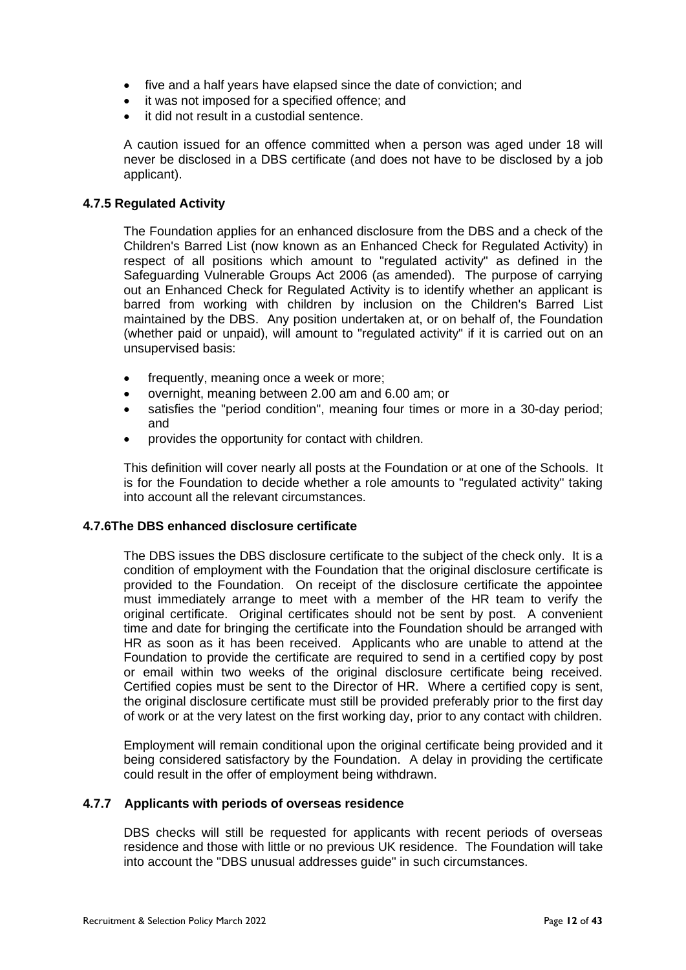- five and a half years have elapsed since the date of conviction; and
- it was not imposed for a specified offence; and
- it did not result in a custodial sentence.

A caution issued for an offence committed when a person was aged under 18 will never be disclosed in a DBS certificate (and does not have to be disclosed by a job applicant).

#### **4.7.5 Regulated Activity**

The Foundation applies for an enhanced disclosure from the DBS and a check of the Children's Barred List (now known as an Enhanced Check for Regulated Activity) in respect of all positions which amount to "regulated activity" as defined in the Safeguarding Vulnerable Groups Act 2006 (as amended). The purpose of carrying out an Enhanced Check for Regulated Activity is to identify whether an applicant is barred from working with children by inclusion on the Children's Barred List maintained by the DBS. Any position undertaken at, or on behalf of, the Foundation (whether paid or unpaid), will amount to "regulated activity" if it is carried out on an unsupervised basis:

- frequently, meaning once a week or more;
- overnight, meaning between 2.00 am and 6.00 am; or
- satisfies the "period condition", meaning four times or more in a 30-day period; and
- provides the opportunity for contact with children.

This definition will cover nearly all posts at the Foundation or at one of the Schools. It is for the Foundation to decide whether a role amounts to "regulated activity" taking into account all the relevant circumstances.

#### **4.7.6The DBS enhanced disclosure certificate**

The DBS issues the DBS disclosure certificate to the subject of the check only. It is a condition of employment with the Foundation that the original disclosure certificate is provided to the Foundation. On receipt of the disclosure certificate the appointee must immediately arrange to meet with a member of the HR team to verify the original certificate. Original certificates should not be sent by post. A convenient time and date for bringing the certificate into the Foundation should be arranged with HR as soon as it has been received. Applicants who are unable to attend at the Foundation to provide the certificate are required to send in a certified copy by post or email within two weeks of the original disclosure certificate being received. Certified copies must be sent to the Director of HR. Where a certified copy is sent, the original disclosure certificate must still be provided preferably prior to the first day of work or at the very latest on the first working day, prior to any contact with children.

Employment will remain conditional upon the original certificate being provided and it being considered satisfactory by the Foundation. A delay in providing the certificate could result in the offer of employment being withdrawn.

#### **4.7.7 Applicants with periods of overseas residence**

DBS checks will still be requested for applicants with recent periods of overseas residence and those with little or no previous UK residence. The Foundation will take into account the "DBS unusual addresses guide" in such circumstances.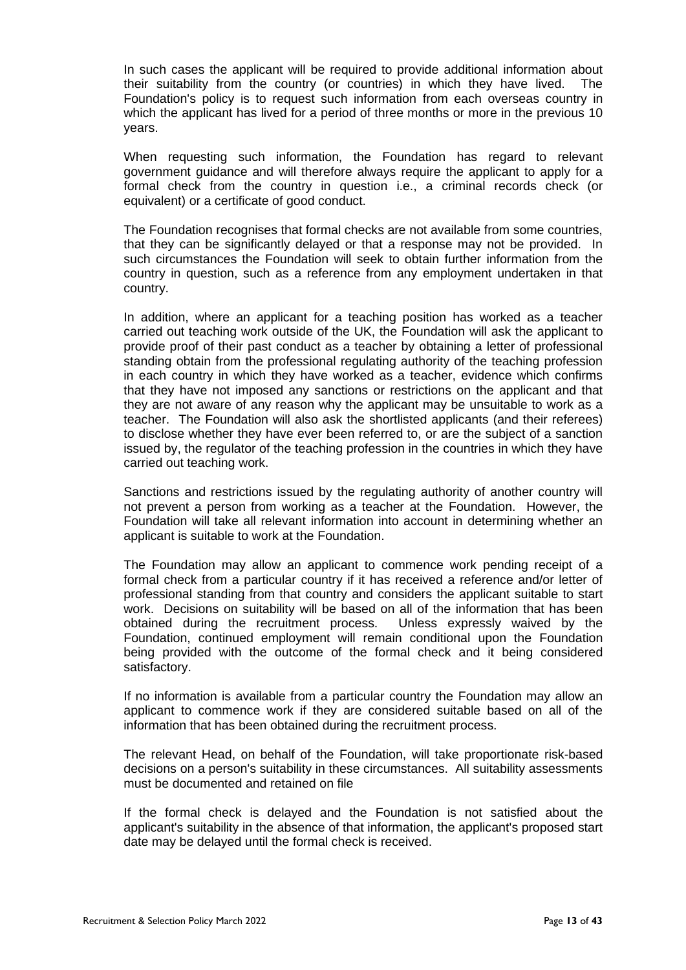In such cases the applicant will be required to provide additional information about their suitability from the country (or countries) in which they have lived. The Foundation's policy is to request such information from each overseas country in which the applicant has lived for a period of three months or more in the previous 10 years.

When requesting such information, the Foundation has regard to relevant government guidance and will therefore always require the applicant to apply for a formal check from the country in question i.e., a criminal records check (or equivalent) or a certificate of good conduct.

The Foundation recognises that formal checks are not available from some countries, that they can be significantly delayed or that a response may not be provided. In such circumstances the Foundation will seek to obtain further information from the country in question, such as a reference from any employment undertaken in that country.

In addition, where an applicant for a teaching position has worked as a teacher carried out teaching work outside of the UK, the Foundation will ask the applicant to provide proof of their past conduct as a teacher by obtaining a letter of professional standing obtain from the professional regulating authority of the teaching profession in each country in which they have worked as a teacher, evidence which confirms that they have not imposed any sanctions or restrictions on the applicant and that they are not aware of any reason why the applicant may be unsuitable to work as a teacher. The Foundation will also ask the shortlisted applicants (and their referees) to disclose whether they have ever been referred to, or are the subject of a sanction issued by, the regulator of the teaching profession in the countries in which they have carried out teaching work.

Sanctions and restrictions issued by the regulating authority of another country will not prevent a person from working as a teacher at the Foundation. However, the Foundation will take all relevant information into account in determining whether an applicant is suitable to work at the Foundation.

The Foundation may allow an applicant to commence work pending receipt of a formal check from a particular country if it has received a reference and/or letter of professional standing from that country and considers the applicant suitable to start work. Decisions on suitability will be based on all of the information that has been obtained during the recruitment process. Unless expressly waived by the Foundation, continued employment will remain conditional upon the Foundation being provided with the outcome of the formal check and it being considered satisfactory.

If no information is available from a particular country the Foundation may allow an applicant to commence work if they are considered suitable based on all of the information that has been obtained during the recruitment process.

The relevant Head, on behalf of the Foundation, will take proportionate risk-based decisions on a person's suitability in these circumstances. All suitability assessments must be documented and retained on file

If the formal check is delayed and the Foundation is not satisfied about the applicant's suitability in the absence of that information, the applicant's proposed start date may be delayed until the formal check is received.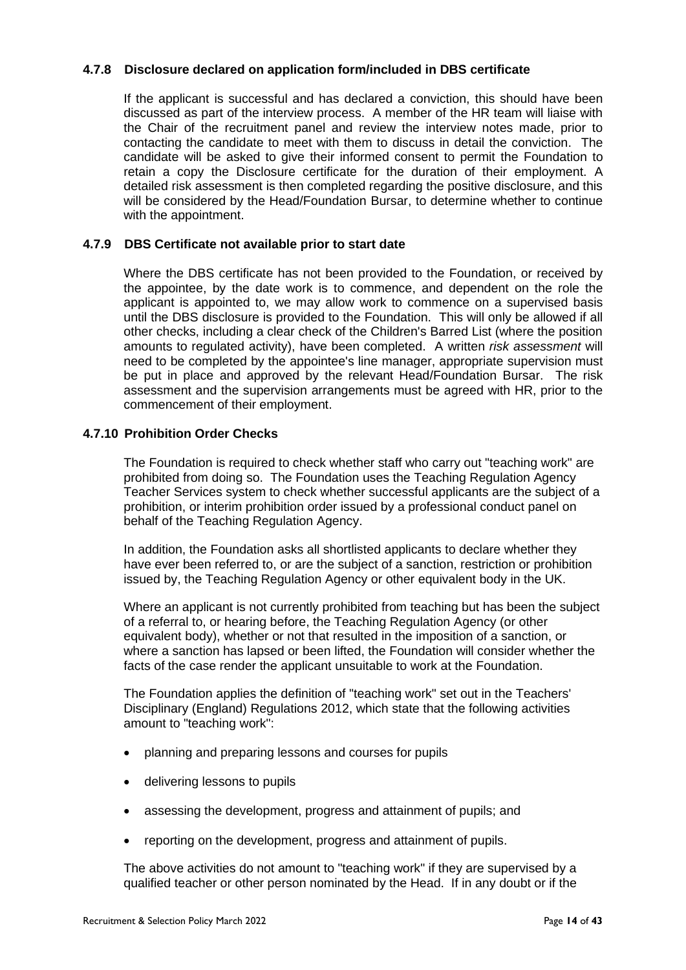# **4.7.8 Disclosure declared on application form/included in DBS certificate**

If the applicant is successful and has declared a conviction, this should have been discussed as part of the interview process. A member of the HR team will liaise with the Chair of the recruitment panel and review the interview notes made, prior to contacting the candidate to meet with them to discuss in detail the conviction. The candidate will be asked to give their informed consent to permit the Foundation to retain a copy the Disclosure certificate for the duration of their employment. A detailed risk assessment is then completed regarding the positive disclosure, and this will be considered by the Head/Foundation Bursar, to determine whether to continue with the appointment.

#### **4.7.9 DBS Certificate not available prior to start date**

Where the DBS certificate has not been provided to the Foundation, or received by the appointee, by the date work is to commence, and dependent on the role the applicant is appointed to, we may allow work to commence on a supervised basis until the DBS disclosure is provided to the Foundation. This will only be allowed if all other checks, including a clear check of the Children's Barred List (where the position amounts to regulated activity), have been completed. A written *risk assessment* will need to be completed by the appointee's line manager, appropriate supervision must be put in place and approved by the relevant Head/Foundation Bursar. The risk assessment and the supervision arrangements must be agreed with HR, prior to the commencement of their employment.

# **4.7.10 Prohibition Order Checks**

The Foundation is required to check whether staff who carry out "teaching work" are prohibited from doing so. The Foundation uses the Teaching Regulation Agency Teacher Services system to check whether successful applicants are the subject of a prohibition, or interim prohibition order issued by a professional conduct panel on behalf of the Teaching Regulation Agency.

In addition, the Foundation asks all shortlisted applicants to declare whether they have ever been referred to, or are the subject of a sanction, restriction or prohibition issued by, the Teaching Regulation Agency or other equivalent body in the UK.

Where an applicant is not currently prohibited from teaching but has been the subject of a referral to, or hearing before, the Teaching Regulation Agency (or other equivalent body), whether or not that resulted in the imposition of a sanction, or where a sanction has lapsed or been lifted, the Foundation will consider whether the facts of the case render the applicant unsuitable to work at the Foundation.

The Foundation applies the definition of "teaching work" set out in the Teachers' Disciplinary (England) Regulations 2012, which state that the following activities amount to "teaching work":

- planning and preparing lessons and courses for pupils
- delivering lessons to pupils
- assessing the development, progress and attainment of pupils; and
- reporting on the development, progress and attainment of pupils.

The above activities do not amount to "teaching work" if they are supervised by a qualified teacher or other person nominated by the Head. If in any doubt or if the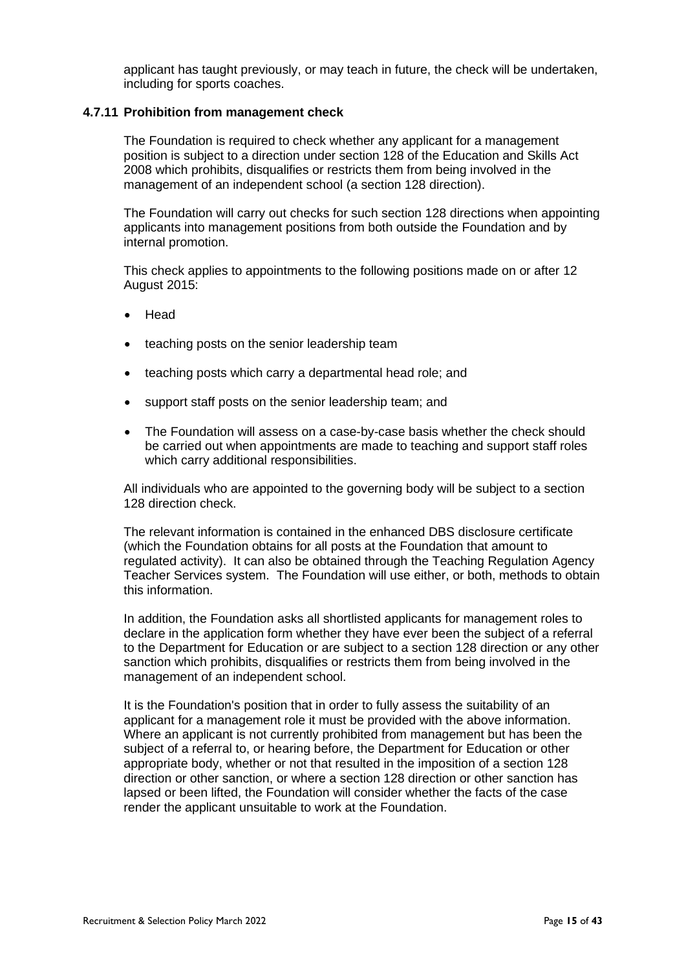applicant has taught previously, or may teach in future, the check will be undertaken, including for sports coaches.

#### **4.7.11 Prohibition from management check**

The Foundation is required to check whether any applicant for a management position is subject to a direction under section 128 of the Education and Skills Act 2008 which prohibits, disqualifies or restricts them from being involved in the management of an independent school (a section 128 direction).

The Foundation will carry out checks for such section 128 directions when appointing applicants into management positions from both outside the Foundation and by internal promotion.

This check applies to appointments to the following positions made on or after 12 August 2015:

- Head
- teaching posts on the senior leadership team
- teaching posts which carry a departmental head role; and
- support staff posts on the senior leadership team; and
- The Foundation will assess on a case-by-case basis whether the check should be carried out when appointments are made to teaching and support staff roles which carry additional responsibilities.

All individuals who are appointed to the governing body will be subject to a section 128 direction check.

The relevant information is contained in the enhanced DBS disclosure certificate (which the Foundation obtains for all posts at the Foundation that amount to regulated activity). It can also be obtained through the Teaching Regulation Agency Teacher Services system. The Foundation will use either, or both, methods to obtain this information.

In addition, the Foundation asks all shortlisted applicants for management roles to declare in the application form whether they have ever been the subject of a referral to the Department for Education or are subject to a section 128 direction or any other sanction which prohibits, disqualifies or restricts them from being involved in the management of an independent school.

It is the Foundation's position that in order to fully assess the suitability of an applicant for a management role it must be provided with the above information. Where an applicant is not currently prohibited from management but has been the subject of a referral to, or hearing before, the Department for Education or other appropriate body, whether or not that resulted in the imposition of a section 128 direction or other sanction, or where a section 128 direction or other sanction has lapsed or been lifted, the Foundation will consider whether the facts of the case render the applicant unsuitable to work at the Foundation.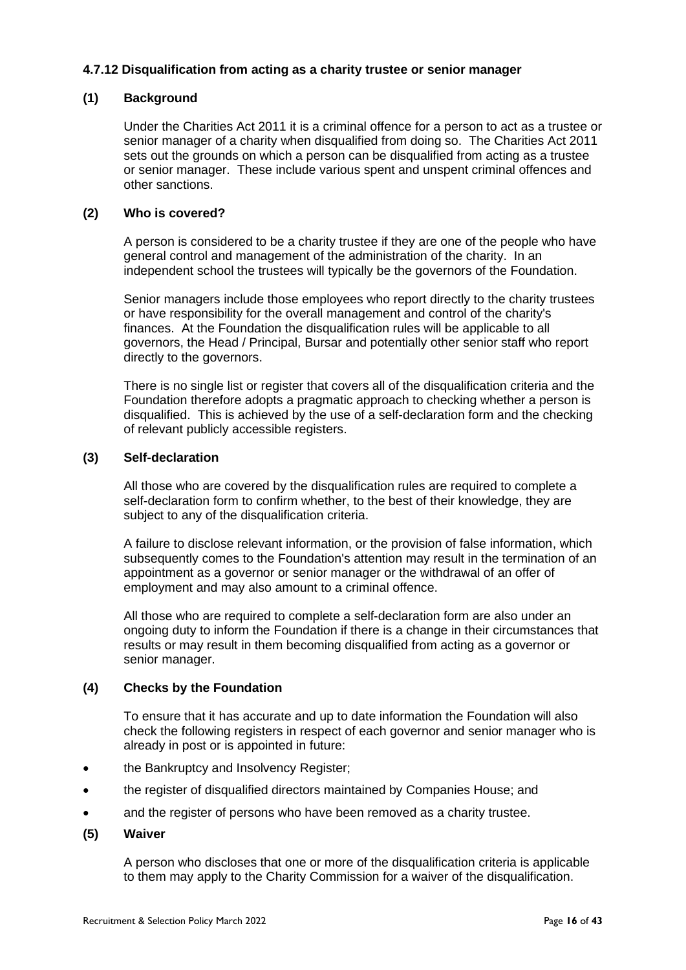# **4.7.12 Disqualification from acting as a charity trustee or senior manager**

# **(1) Background**

Under the Charities Act 2011 it is a criminal offence for a person to act as a trustee or senior manager of a charity when disqualified from doing so. The Charities Act 2011 sets out the grounds on which a person can be disqualified from acting as a trustee or senior manager. These include various spent and unspent criminal offences and other sanctions.

# **(2) Who is covered?**

A person is considered to be a charity trustee if they are one of the people who have general control and management of the administration of the charity. In an independent school the trustees will typically be the governors of the Foundation.

Senior managers include those employees who report directly to the charity trustees or have responsibility for the overall management and control of the charity's finances. At the Foundation the disqualification rules will be applicable to all governors, the Head / Principal, Bursar and potentially other senior staff who report directly to the governors.

There is no single list or register that covers all of the disqualification criteria and the Foundation therefore adopts a pragmatic approach to checking whether a person is disqualified. This is achieved by the use of a self-declaration form and the checking of relevant publicly accessible registers.

#### **(3) Self-declaration**

All those who are covered by the disqualification rules are required to complete a self-declaration form to confirm whether, to the best of their knowledge, they are subject to any of the disqualification criteria.

A failure to disclose relevant information, or the provision of false information, which subsequently comes to the Foundation's attention may result in the termination of an appointment as a governor or senior manager or the withdrawal of an offer of employment and may also amount to a criminal offence.

All those who are required to complete a self-declaration form are also under an ongoing duty to inform the Foundation if there is a change in their circumstances that results or may result in them becoming disqualified from acting as a governor or senior manager.

#### **(4) Checks by the Foundation**

To ensure that it has accurate and up to date information the Foundation will also check the following registers in respect of each governor and senior manager who is already in post or is appointed in future:

- the Bankruptcy and Insolvency Register;
- the register of disqualified directors maintained by Companies House; and
- and the register of persons who have been removed as a charity trustee.

#### **(5) Waiver**

A person who discloses that one or more of the disqualification criteria is applicable to them may apply to the Charity Commission for a waiver of the disqualification.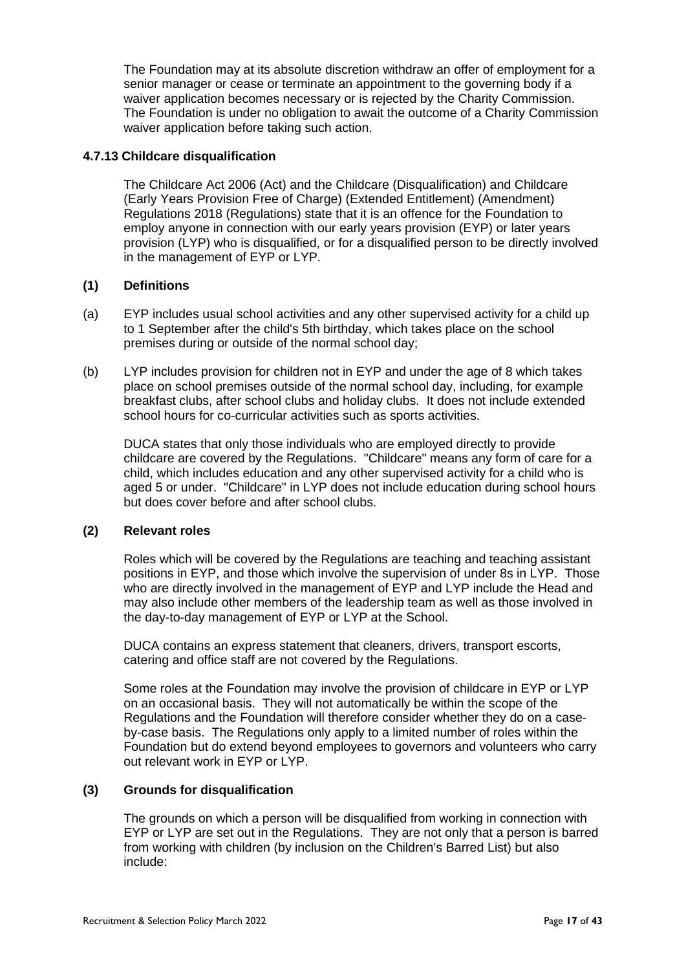The Foundation may at its absolute discretion withdraw an offer of employment for a senior manager or cease or terminate an appointment to the governing body if a waiver application becomes necessary or is rejected by the Charity Commission. The Foundation is under no obligation to await the outcome of a Charity Commission waiver application before taking such action.

# **4.7.13 Childcare disqualification**

The Childcare Act 2006 (Act) and the Childcare (Disqualification) and Childcare (Early Years Provision Free of Charge) (Extended Entitlement) (Amendment) Regulations 2018 (Regulations) state that it is an offence for the Foundation to employ anyone in connection with our early years provision (EYP) or later years provision (LYP) who is disqualified, or for a disqualified person to be directly involved in the management of EYP or LYP.

# **(1) Definitions**

- (a) EYP includes usual school activities and any other supervised activity for a child up to 1 September after the child's 5th birthday, which takes place on the school premises during or outside of the normal school day;
- (b) LYP includes provision for children not in EYP and under the age of 8 which takes place on school premises outside of the normal school day, including, for example breakfast clubs, after school clubs and holiday clubs. It does not include extended school hours for co-curricular activities such as sports activities.

DUCA states that only those individuals who are employed directly to provide childcare are covered by the Regulations. "Childcare" means any form of care for a child, which includes education and any other supervised activity for a child who is aged 5 or under. "Childcare" in LYP does not include education during school hours but does cover before and after school clubs.

#### **(2) Relevant roles**

Roles which will be covered by the Regulations are teaching and teaching assistant positions in EYP, and those which involve the supervision of under 8s in LYP. Those who are directly involved in the management of EYP and LYP include the Head and may also include other members of the leadership team as well as those involved in the day-to-day management of EYP or LYP at the School.

DUCA contains an express statement that cleaners, drivers, transport escorts, catering and office staff are not covered by the Regulations.

Some roles at the Foundation may involve the provision of childcare in EYP or LYP on an occasional basis. They will not automatically be within the scope of the Regulations and the Foundation will therefore consider whether they do on a caseby-case basis. The Regulations only apply to a limited number of roles within the Foundation but do extend beyond employees to governors and volunteers who carry out relevant work in EYP or LYP.

#### **(3) Grounds for disqualification**

The grounds on which a person will be disqualified from working in connection with EYP or LYP are set out in the Regulations. They are not only that a person is barred from working with children (by inclusion on the Children's Barred List) but also include: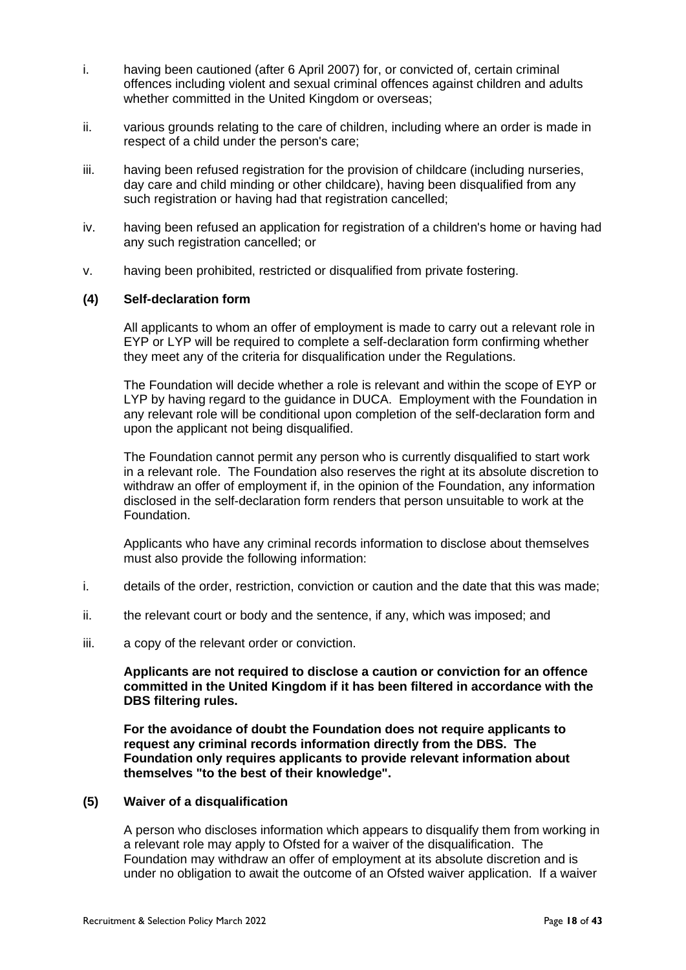- i. having been cautioned (after 6 April 2007) for, or convicted of, certain criminal offences including violent and sexual criminal offences against children and adults whether committed in the United Kingdom or overseas;
- ii. various grounds relating to the care of children, including where an order is made in respect of a child under the person's care;
- iii. having been refused registration for the provision of childcare (including nurseries, day care and child minding or other childcare), having been disqualified from any such registration or having had that registration cancelled;
- iv. having been refused an application for registration of a children's home or having had any such registration cancelled; or
- v. having been prohibited, restricted or disqualified from private fostering.

# **(4) Self-declaration form**

All applicants to whom an offer of employment is made to carry out a relevant role in EYP or LYP will be required to complete a self-declaration form confirming whether they meet any of the criteria for disqualification under the Regulations.

The Foundation will decide whether a role is relevant and within the scope of EYP or LYP by having regard to the guidance in DUCA. Employment with the Foundation in any relevant role will be conditional upon completion of the self-declaration form and upon the applicant not being disqualified.

The Foundation cannot permit any person who is currently disqualified to start work in a relevant role. The Foundation also reserves the right at its absolute discretion to withdraw an offer of employment if, in the opinion of the Foundation, any information disclosed in the self-declaration form renders that person unsuitable to work at the Foundation.

Applicants who have any criminal records information to disclose about themselves must also provide the following information:

- i. details of the order, restriction, conviction or caution and the date that this was made;
- ii. the relevant court or body and the sentence, if any, which was imposed; and
- iii. a copy of the relevant order or conviction.

**Applicants are not required to disclose a caution or conviction for an offence committed in the United Kingdom if it has been filtered in accordance with the DBS filtering rules.**

**For the avoidance of doubt the Foundation does not require applicants to request any criminal records information directly from the DBS. The Foundation only requires applicants to provide relevant information about themselves "to the best of their knowledge".**

#### **(5) Waiver of a disqualification**

A person who discloses information which appears to disqualify them from working in a relevant role may apply to Ofsted for a waiver of the disqualification. The Foundation may withdraw an offer of employment at its absolute discretion and is under no obligation to await the outcome of an Ofsted waiver application. If a waiver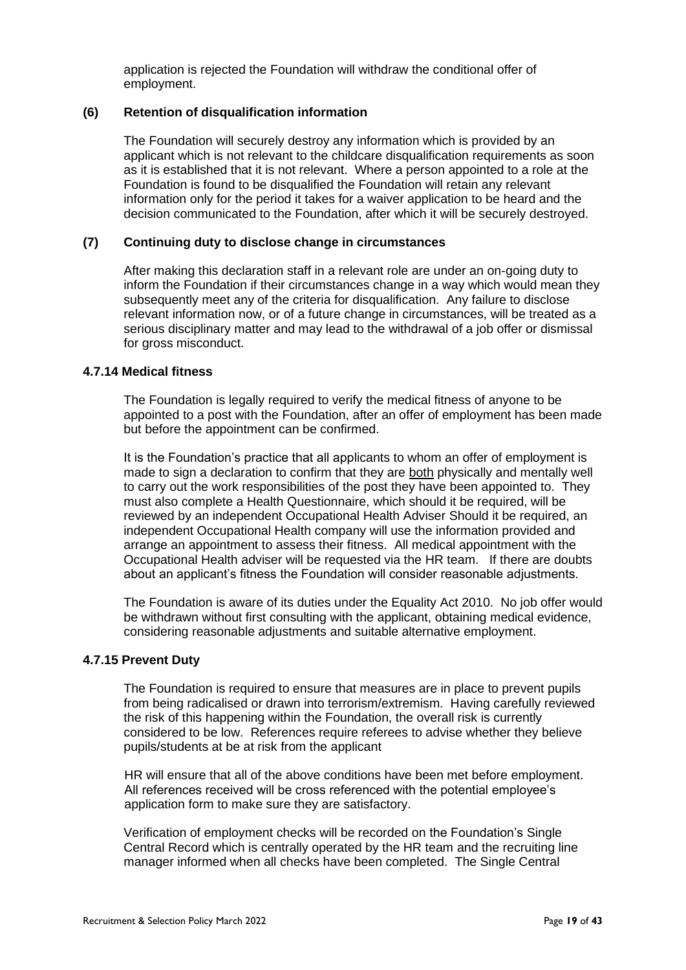application is rejected the Foundation will withdraw the conditional offer of employment.

#### **(6) Retention of disqualification information**

The Foundation will securely destroy any information which is provided by an applicant which is not relevant to the childcare disqualification requirements as soon as it is established that it is not relevant. Where a person appointed to a role at the Foundation is found to be disqualified the Foundation will retain any relevant information only for the period it takes for a waiver application to be heard and the decision communicated to the Foundation, after which it will be securely destroyed.

# **(7) Continuing duty to disclose change in circumstances**

After making this declaration staff in a relevant role are under an on-going duty to inform the Foundation if their circumstances change in a way which would mean they subsequently meet any of the criteria for disqualification. Any failure to disclose relevant information now, or of a future change in circumstances, will be treated as a serious disciplinary matter and may lead to the withdrawal of a job offer or dismissal for gross misconduct.

# **4.7.14 Medical fitness**

The Foundation is legally required to verify the medical fitness of anyone to be appointed to a post with the Foundation, after an offer of employment has been made but before the appointment can be confirmed.

It is the Foundation's practice that all applicants to whom an offer of employment is made to sign a declaration to confirm that they are both physically and mentally well to carry out the work responsibilities of the post they have been appointed to. They must also complete a Health Questionnaire, which should it be required, will be reviewed by an independent Occupational Health Adviser Should it be required, an independent Occupational Health company will use the information provided and arrange an appointment to assess their fitness. All medical appointment with the Occupational Health adviser will be requested via the HR team. If there are doubts about an applicant's fitness the Foundation will consider reasonable adjustments.

The Foundation is aware of its duties under the Equality Act 2010. No job offer would be withdrawn without first consulting with the applicant, obtaining medical evidence, considering reasonable adjustments and suitable alternative employment.

# **4.7.15 Prevent Duty**

The Foundation is required to ensure that measures are in place to prevent pupils from being radicalised or drawn into terrorism/extremism. Having carefully reviewed the risk of this happening within the Foundation, the overall risk is currently considered to be low. References require referees to advise whether they believe pupils/students at be at risk from the applicant

HR will ensure that all of the above conditions have been met before employment. All references received will be cross referenced with the potential employee's application form to make sure they are satisfactory.

Verification of employment checks will be recorded on the Foundation's Single Central Record which is centrally operated by the HR team and the recruiting line manager informed when all checks have been completed. The Single Central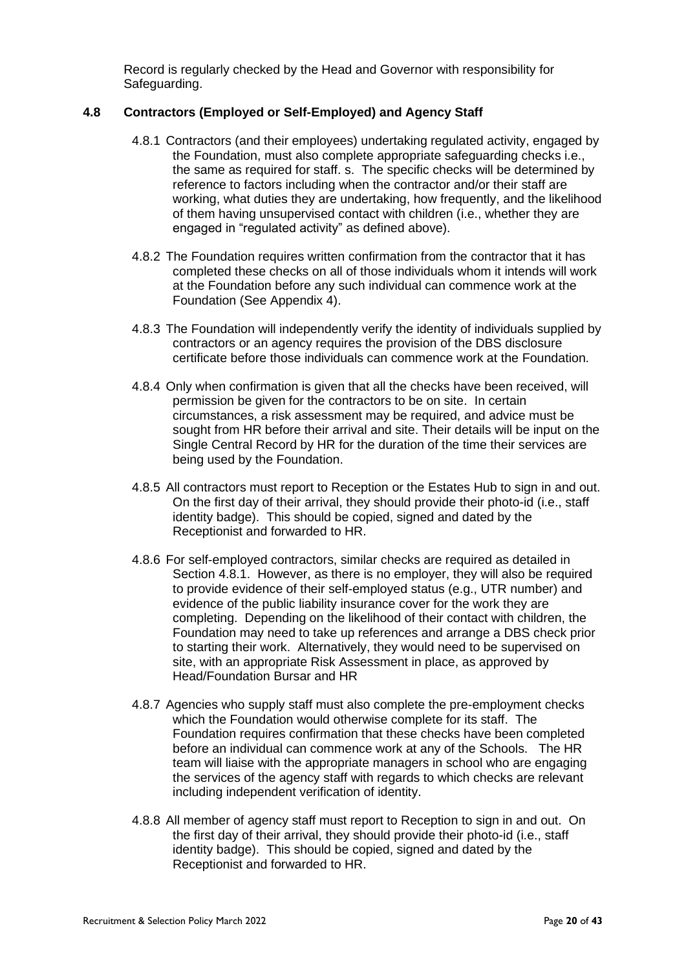Record is regularly checked by the Head and Governor with responsibility for Safeguarding.

# <span id="page-19-0"></span>**4.8 Contractors (Employed or Self-Employed) and Agency Staff**

- 4.8.1 Contractors (and their employees) undertaking regulated activity, engaged by the Foundation, must also complete appropriate safeguarding checks i.e., the same as required for staff. s. The specific checks will be determined by reference to factors including when the contractor and/or their staff are working, what duties they are undertaking, how frequently, and the likelihood of them having unsupervised contact with children (i.e., whether they are engaged in "regulated activity" as defined above).
- 4.8.2 The Foundation requires written confirmation from the contractor that it has completed these checks on all of those individuals whom it intends will work at the Foundation before any such individual can commence work at the Foundation (See Appendix 4).
- 4.8.3 The Foundation will independently verify the identity of individuals supplied by contractors or an agency requires the provision of the DBS disclosure certificate before those individuals can commence work at the Foundation.
- 4.8.4 Only when confirmation is given that all the checks have been received, will permission be given for the contractors to be on site. In certain circumstances, a risk assessment may be required, and advice must be sought from HR before their arrival and site. Their details will be input on the Single Central Record by HR for the duration of the time their services are being used by the Foundation.
- 4.8.5 All contractors must report to Reception or the Estates Hub to sign in and out. On the first day of their arrival, they should provide their photo-id (i.e., staff identity badge). This should be copied, signed and dated by the Receptionist and forwarded to HR.
- 4.8.6 For self-employed contractors, similar checks are required as detailed in Section [4.8.1.](#page-19-0) However, as there is no employer, they will also be required to provide evidence of their self-employed status (e.g., UTR number) and evidence of the public liability insurance cover for the work they are completing. Depending on the likelihood of their contact with children, the Foundation may need to take up references and arrange a DBS check prior to starting their work. Alternatively, they would need to be supervised on site, with an appropriate Risk Assessment in place, as approved by Head/Foundation Bursar and HR
- 4.8.7 Agencies who supply staff must also complete the pre-employment checks which the Foundation would otherwise complete for its staff. The Foundation requires confirmation that these checks have been completed before an individual can commence work at any of the Schools. The HR team will liaise with the appropriate managers in school who are engaging the services of the agency staff with regards to which checks are relevant including independent verification of identity.
- 4.8.8 All member of agency staff must report to Reception to sign in and out. On the first day of their arrival, they should provide their photo-id (i.e., staff identity badge). This should be copied, signed and dated by the Receptionist and forwarded to HR.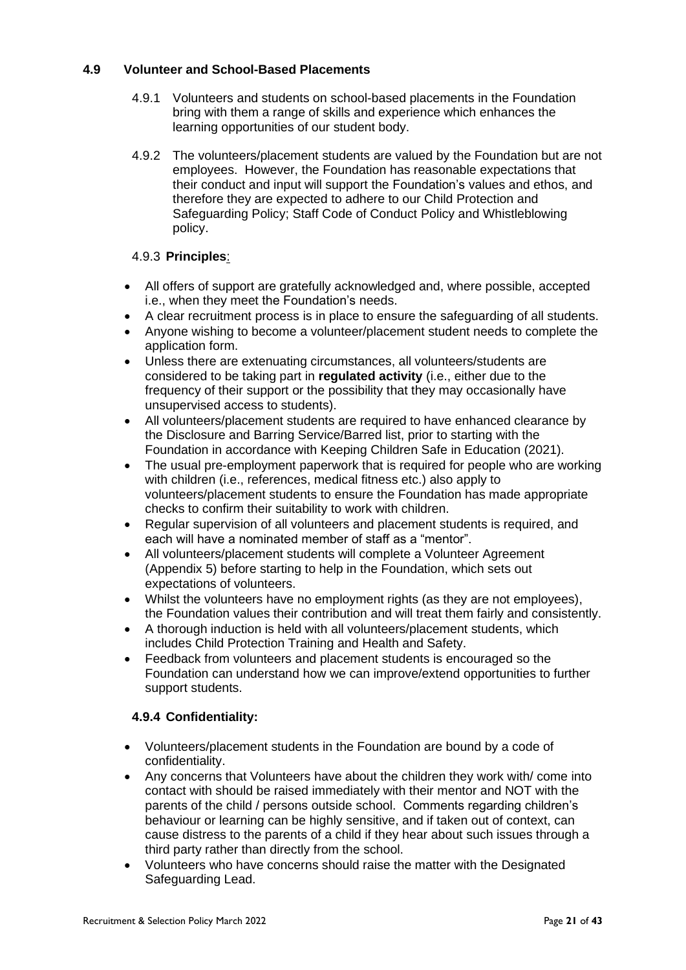# **4.9 Volunteer and School-Based Placements**

- 4.9.1 Volunteers and students on school-based placements in the Foundation bring with them a range of skills and experience which enhances the learning opportunities of our student body.
- 4.9.2 The volunteers/placement students are valued by the Foundation but are not employees. However, the Foundation has reasonable expectations that their conduct and input will support the Foundation's values and ethos, and therefore they are expected to adhere to our Child Protection and Safeguarding Policy; Staff Code of Conduct Policy and Whistleblowing policy.

# 4.9.3 **Principles**:

- All offers of support are gratefully acknowledged and, where possible, accepted i.e., when they meet the Foundation's needs.
- A clear recruitment process is in place to ensure the safeguarding of all students.
- Anyone wishing to become a volunteer/placement student needs to complete the application form.
- Unless there are extenuating circumstances, all volunteers/students are considered to be taking part in **regulated activity** (i.e., either due to the frequency of their support or the possibility that they may occasionally have unsupervised access to students).
- All volunteers/placement students are required to have enhanced clearance by the Disclosure and Barring Service/Barred list, prior to starting with the Foundation in accordance with Keeping Children Safe in Education (2021).
- The usual pre-employment paperwork that is required for people who are working with children (i.e., references, medical fitness etc.) also apply to volunteers/placement students to ensure the Foundation has made appropriate checks to confirm their suitability to work with children.
- Regular supervision of all volunteers and placement students is required, and each will have a nominated member of staff as a "mentor".
- All volunteers/placement students will complete a Volunteer Agreement (Appendix 5) before starting to help in the Foundation, which sets out expectations of volunteers.
- Whilst the volunteers have no employment rights (as they are not employees), the Foundation values their contribution and will treat them fairly and consistently.
- A thorough induction is held with all volunteers/placement students, which includes Child Protection Training and Health and Safety.
- Feedback from volunteers and placement students is encouraged so the Foundation can understand how we can improve/extend opportunities to further support students.

# **4.9.4 Confidentiality:**

- Volunteers/placement students in the Foundation are bound by a code of confidentiality.
- Any concerns that Volunteers have about the children they work with/ come into contact with should be raised immediately with their mentor and NOT with the parents of the child / persons outside school. Comments regarding children's behaviour or learning can be highly sensitive, and if taken out of context, can cause distress to the parents of a child if they hear about such issues through a third party rather than directly from the school.
- Volunteers who have concerns should raise the matter with the Designated Safeguarding Lead.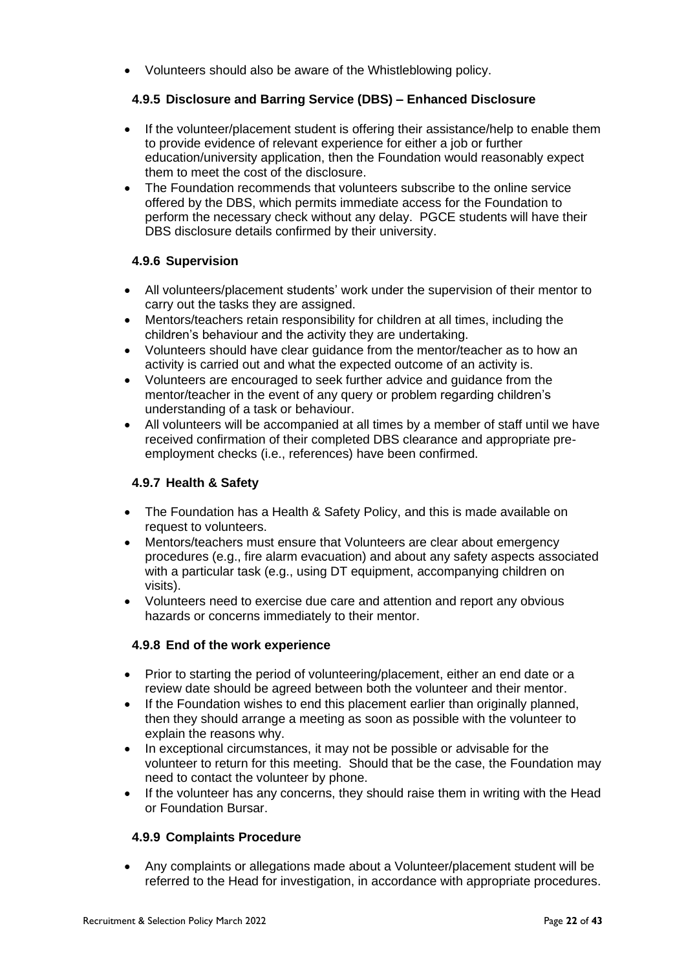• Volunteers should also be aware of the Whistleblowing policy.

# **4.9.5 Disclosure and Barring Service (DBS) – Enhanced Disclosure**

- If the volunteer/placement student is offering their assistance/help to enable them to provide evidence of relevant experience for either a job or further education/university application, then the Foundation would reasonably expect them to meet the cost of the disclosure.
- The Foundation recommends that volunteers subscribe to the online service offered by the DBS, which permits immediate access for the Foundation to perform the necessary check without any delay. PGCE students will have their DBS disclosure details confirmed by their university.

# **4.9.6 Supervision**

- All volunteers/placement students' work under the supervision of their mentor to carry out the tasks they are assigned.
- Mentors/teachers retain responsibility for children at all times, including the children's behaviour and the activity they are undertaking.
- Volunteers should have clear guidance from the mentor/teacher as to how an activity is carried out and what the expected outcome of an activity is.
- Volunteers are encouraged to seek further advice and guidance from the mentor/teacher in the event of any query or problem regarding children's understanding of a task or behaviour.
- All volunteers will be accompanied at all times by a member of staff until we have received confirmation of their completed DBS clearance and appropriate preemployment checks (i.e., references) have been confirmed.

# **4.9.7 Health & Safety**

- The Foundation has a Health & Safety Policy, and this is made available on request to volunteers.
- Mentors/teachers must ensure that Volunteers are clear about emergency procedures (e.g., fire alarm evacuation) and about any safety aspects associated with a particular task (e.g., using DT equipment, accompanying children on visits).
- Volunteers need to exercise due care and attention and report any obvious hazards or concerns immediately to their mentor.

# **4.9.8 End of the work experience**

- Prior to starting the period of volunteering/placement, either an end date or a review date should be agreed between both the volunteer and their mentor.
- If the Foundation wishes to end this placement earlier than originally planned, then they should arrange a meeting as soon as possible with the volunteer to explain the reasons why.
- In exceptional circumstances, it may not be possible or advisable for the volunteer to return for this meeting. Should that be the case, the Foundation may need to contact the volunteer by phone.
- If the volunteer has any concerns, they should raise them in writing with the Head or Foundation Bursar.

# **4.9.9 Complaints Procedure**

• Any complaints or allegations made about a Volunteer/placement student will be referred to the Head for investigation, in accordance with appropriate procedures.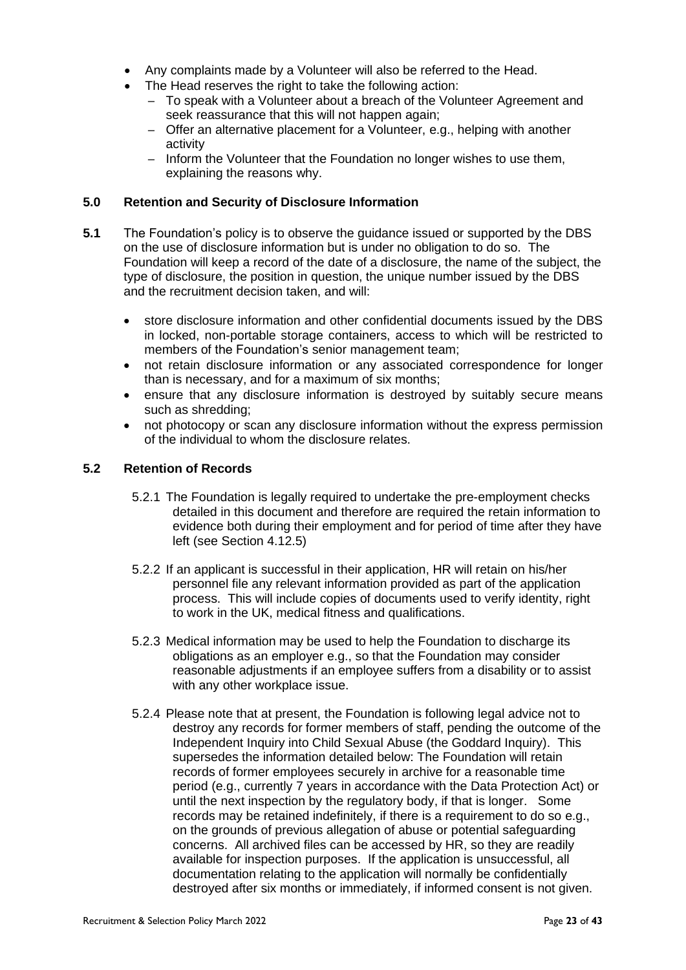- Any complaints made by a Volunteer will also be referred to the Head.
- The Head reserves the right to take the following action:
	- To speak with a Volunteer about a breach of the Volunteer Agreement and seek reassurance that this will not happen again;
	- Offer an alternative placement for a Volunteer, e.g., helping with another activity
	- Inform the Volunteer that the Foundation no longer wishes to use them, explaining the reasons why.

#### **5.0 Retention and Security of Disclosure Information**

- **5.1** The Foundation's policy is to observe the guidance issued or supported by the DBS on the use of disclosure information but is under no obligation to do so. The Foundation will keep a record of the date of a disclosure, the name of the subject, the type of disclosure, the position in question, the unique number issued by the DBS and the recruitment decision taken, and will:
	- store disclosure information and other confidential documents issued by the DBS in locked, non-portable storage containers, access to which will be restricted to members of the Foundation's senior management team;
	- not retain disclosure information or any associated correspondence for longer than is necessary, and for a maximum of six months;
	- ensure that any disclosure information is destroyed by suitably secure means such as shredding;
	- not photocopy or scan any disclosure information without the express permission of the individual to whom the disclosure relates.

#### <span id="page-22-0"></span>**5.2 Retention of Records**

- 5.2.1 The Foundation is legally required to undertake the pre-employment checks detailed in this document and therefore are required the retain information to evidence both during their employment and for period of time after they have left (see Section 4.12.5)
- 5.2.2 If an applicant is successful in their application, HR will retain on his/her personnel file any relevant information provided as part of the application process. This will include copies of documents used to verify identity, right to work in the UK, medical fitness and qualifications.
- 5.2.3 Medical information may be used to help the Foundation to discharge its obligations as an employer e.g., so that the Foundation may consider reasonable adjustments if an employee suffers from a disability or to assist with any other workplace issue.
- 5.2.4 Please note that at present, the Foundation is following legal advice not to destroy any records for former members of staff, pending the outcome of the Independent Inquiry into Child Sexual Abuse (the Goddard Inquiry). This supersedes the information detailed below: The Foundation will retain records of former employees securely in archive for a reasonable time period (e.g., currently 7 years in accordance with the Data Protection Act) or until the next inspection by the regulatory body, if that is longer. Some records may be retained indefinitely, if there is a requirement to do so e.g., on the grounds of previous allegation of abuse or potential safeguarding concerns. All archived files can be accessed by HR, so they are readily available for inspection purposes. If the application is unsuccessful, all documentation relating to the application will normally be confidentially destroyed after six months or immediately, if informed consent is not given.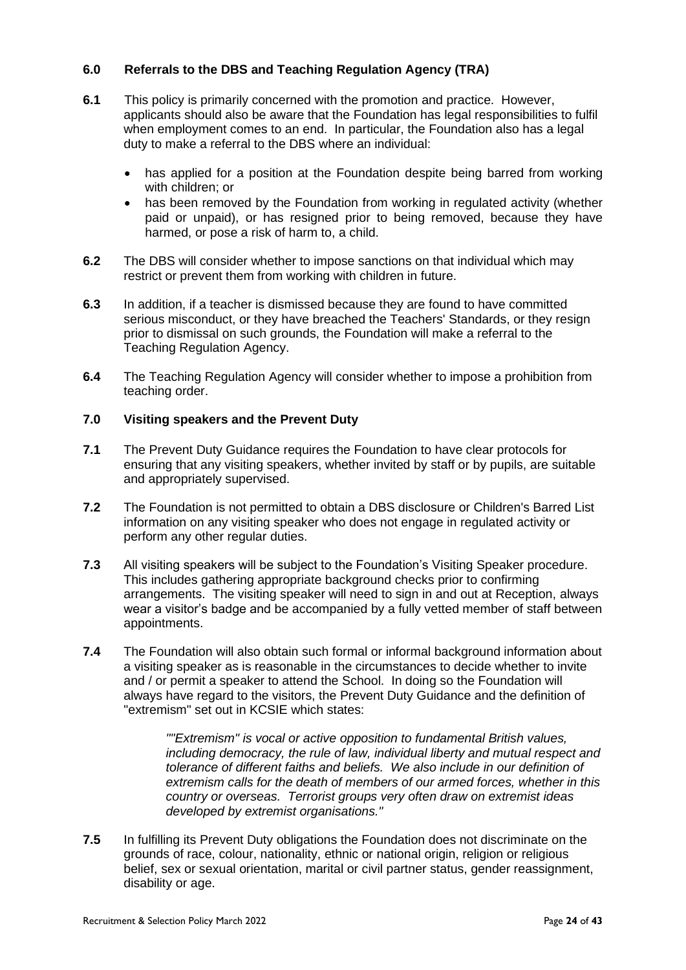# **6.0 Referrals to the DBS and Teaching Regulation Agency (TRA)**

- **6.1** This policy is primarily concerned with the promotion and practice. However, applicants should also be aware that the Foundation has legal responsibilities to fulfil when employment comes to an end. In particular, the Foundation also has a legal duty to make a referral to the DBS where an individual:
	- has applied for a position at the Foundation despite being barred from working with children; or
	- has been removed by the Foundation from working in regulated activity (whether paid or unpaid), or has resigned prior to being removed, because they have harmed, or pose a risk of harm to, a child.
- **6.2** The DBS will consider whether to impose sanctions on that individual which may restrict or prevent them from working with children in future.
- **6.3** In addition, if a teacher is dismissed because they are found to have committed serious misconduct, or they have breached the Teachers' Standards, or they resign prior to dismissal on such grounds, the Foundation will make a referral to the Teaching Regulation Agency.
- **6.4** The Teaching Regulation Agency will consider whether to impose a prohibition from teaching order.

# **7.0 Visiting speakers and the Prevent Duty**

- **7.1** The Prevent Duty Guidance requires the Foundation to have clear protocols for ensuring that any visiting speakers, whether invited by staff or by pupils, are suitable and appropriately supervised.
- **7.2** The Foundation is not permitted to obtain a DBS disclosure or Children's Barred List information on any visiting speaker who does not engage in regulated activity or perform any other regular duties.
- **7.3** All visiting speakers will be subject to the Foundation's Visiting Speaker procedure. This includes gathering appropriate background checks prior to confirming arrangements. The visiting speaker will need to sign in and out at Reception, always wear a visitor's badge and be accompanied by a fully vetted member of staff between appointments.
- **7.4** The Foundation will also obtain such formal or informal background information about a visiting speaker as is reasonable in the circumstances to decide whether to invite and / or permit a speaker to attend the School. In doing so the Foundation will always have regard to the visitors, the Prevent Duty Guidance and the definition of "extremism" set out in KCSIE which states:

*""Extremism" is vocal or active opposition to fundamental British values, including democracy, the rule of law, individual liberty and mutual respect and tolerance of different faiths and beliefs. We also include in our definition of extremism calls for the death of members of our armed forces, whether in this country or overseas. Terrorist groups very often draw on extremist ideas developed by extremist organisations."*

**7.5** In fulfilling its Prevent Duty obligations the Foundation does not discriminate on the grounds of race, colour, nationality, ethnic or national origin, religion or religious belief, sex or sexual orientation, marital or civil partner status, gender reassignment, disability or age.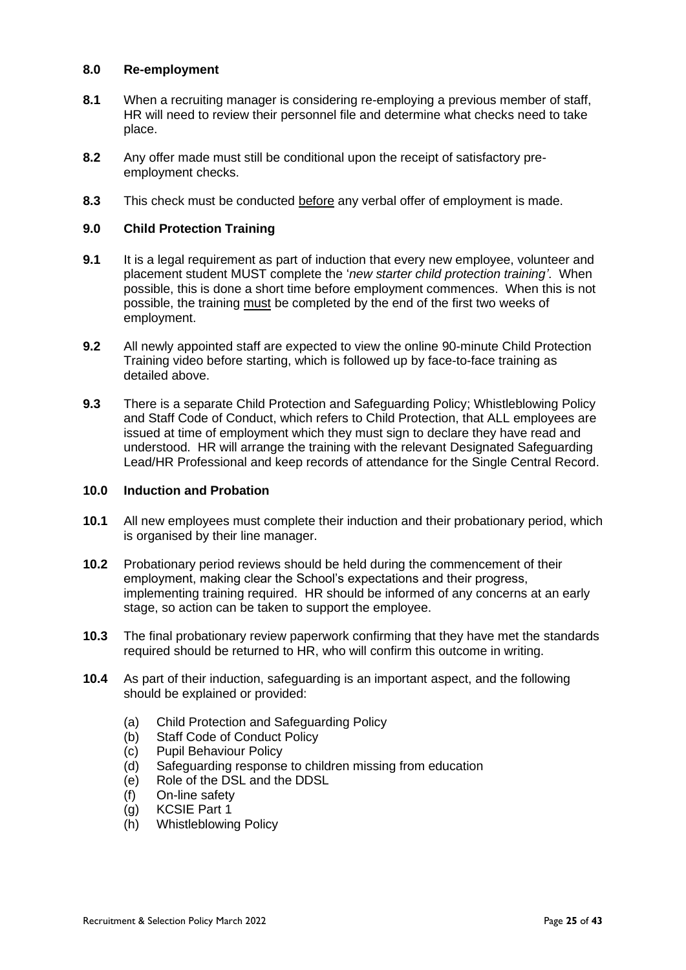# **8.0 Re-employment**

- **8.1** When a recruiting manager is considering re-employing a previous member of staff, HR will need to review their personnel file and determine what checks need to take place.
- **8.2** Any offer made must still be conditional upon the receipt of satisfactory preemployment checks.
- **8.3** This check must be conducted before any verbal offer of employment is made.

#### **9.0 Child Protection Training**

- **9.1** It is a legal requirement as part of induction that every new employee, volunteer and placement student MUST complete the '*new starter child protection training'*. When possible, this is done a short time before employment commences. When this is not possible, the training must be completed by the end of the first two weeks of employment.
- **9.2** All newly appointed staff are expected to view the online 90-minute Child Protection Training video before starting, which is followed up by face-to-face training as detailed above.
- **9.3** There is a separate Child Protection and Safeguarding Policy; Whistleblowing Policy and Staff Code of Conduct, which refers to Child Protection, that ALL employees are issued at time of employment which they must sign to declare they have read and understood. HR will arrange the training with the relevant Designated Safeguarding Lead/HR Professional and keep records of attendance for the Single Central Record.

# **10.0 Induction and Probation**

- **10.1** All new employees must complete their induction and their probationary period, which is organised by their line manager.
- **10.2** Probationary period reviews should be held during the commencement of their employment, making clear the School's expectations and their progress, implementing training required. HR should be informed of any concerns at an early stage, so action can be taken to support the employee.
- **10.3** The final probationary review paperwork confirming that they have met the standards required should be returned to HR, who will confirm this outcome in writing.
- **10.4** As part of their induction, safeguarding is an important aspect, and the following should be explained or provided:
	- (a) Child Protection and Safeguarding Policy
	- (b) Staff Code of Conduct Policy
	- (c) Pupil Behaviour Policy
	- (d) Safeguarding response to children missing from education
	- (e) Role of the DSL and the DDSL
	- (f) On-line safety
	- (g) KCSIE Part 1
	- (h) Whistleblowing Policy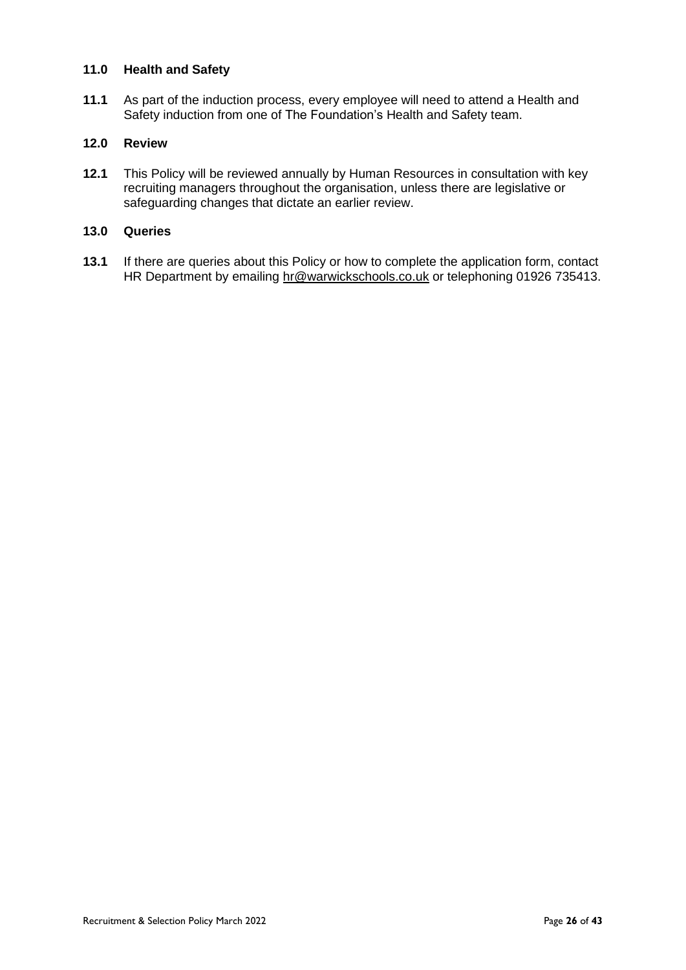# **11.0 Health and Safety**

**11.1** As part of the induction process, every employee will need to attend a Health and Safety induction from one of The Foundation's Health and Safety team.

# **12.0 Review**

**12.1** This Policy will be reviewed annually by Human Resources in consultation with key recruiting managers throughout the organisation, unless there are legislative or safeguarding changes that dictate an earlier review.

# **13.0 Queries**

**13.1** If there are queries about this Policy or how to complete the application form, contact HR Department by emailing [hr@warwickschools.co.uk](mailto:hr@warwickschools.co.uk) or telephoning 01926 735413.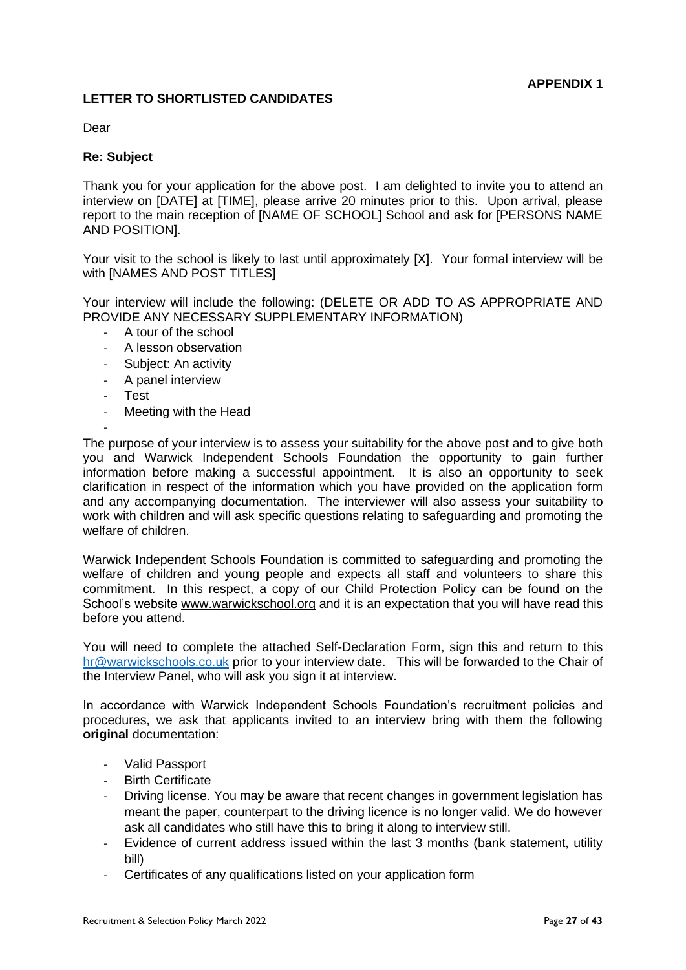# **LETTER TO SHORTLISTED CANDIDATES**

Dear

# **Re: Subject**

Thank you for your application for the above post. I am delighted to invite you to attend an interview on [DATE] at [TIME], please arrive 20 minutes prior to this. Upon arrival, please report to the main reception of [NAME OF SCHOOL] School and ask for [PERSONS NAME AND POSITION].

Your visit to the school is likely to last until approximately [X]. Your formal interview will be with [NAMES AND POST TITLES]

Your interview will include the following: (DELETE OR ADD TO AS APPROPRIATE AND PROVIDE ANY NECESSARY SUPPLEMENTARY INFORMATION)

- A tour of the school
- A lesson observation
- Subject: An activity
- A panel interview
- Test
- Meeting with the Head

- The purpose of your interview is to assess your suitability for the above post and to give both you and Warwick Independent Schools Foundation the opportunity to gain further information before making a successful appointment. It is also an opportunity to seek clarification in respect of the information which you have provided on the application form and any accompanying documentation. The interviewer will also assess your suitability to work with children and will ask specific questions relating to safeguarding and promoting the welfare of children.

Warwick Independent Schools Foundation is committed to safeguarding and promoting the welfare of children and young people and expects all staff and volunteers to share this commitment. In this respect, a copy of our Child Protection Policy can be found on the School's website [www.warwickschool.org](http://www.warwickschool.org/) and it is an expectation that you will have read this before you attend.

You will need to complete the attached Self-Declaration Form, sign this and return to this [hr@warwickschools.co.uk](mailto:hr@warwickschools.co.uk) prior to your interview date. This will be forwarded to the Chair of the Interview Panel, who will ask you sign it at interview.

In accordance with Warwick Independent Schools Foundation's recruitment policies and procedures, we ask that applicants invited to an interview bring with them the following **original** documentation:

- Valid Passport
- Birth Certificate
- Driving license. You may be aware that recent changes in government legislation has meant the paper, counterpart to the driving licence is no longer valid. We do however ask all candidates who still have this to bring it along to interview still.
- Evidence of current address issued within the last 3 months (bank statement, utility bill)
- Certificates of any qualifications listed on your application form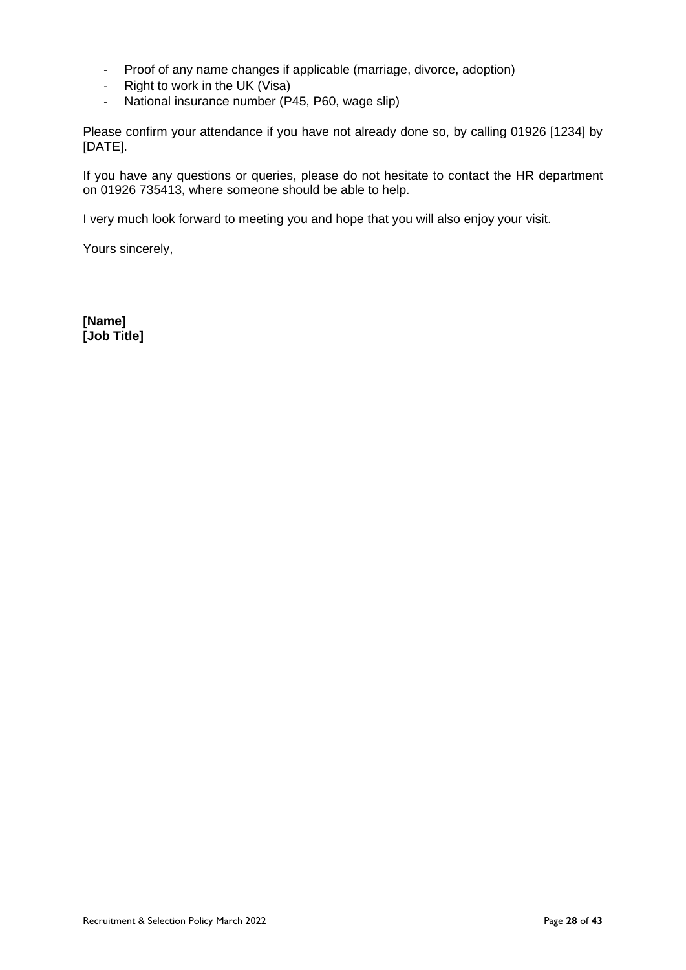- Proof of any name changes if applicable (marriage, divorce, adoption)
- Right to work in the UK (Visa)
- National insurance number (P45, P60, wage slip)

Please confirm your attendance if you have not already done so, by calling 01926 [1234] by [DATE].

If you have any questions or queries, please do not hesitate to contact the HR department on 01926 735413, where someone should be able to help.

I very much look forward to meeting you and hope that you will also enjoy your visit.

Yours sincerely,

**[Name] [Job Title]**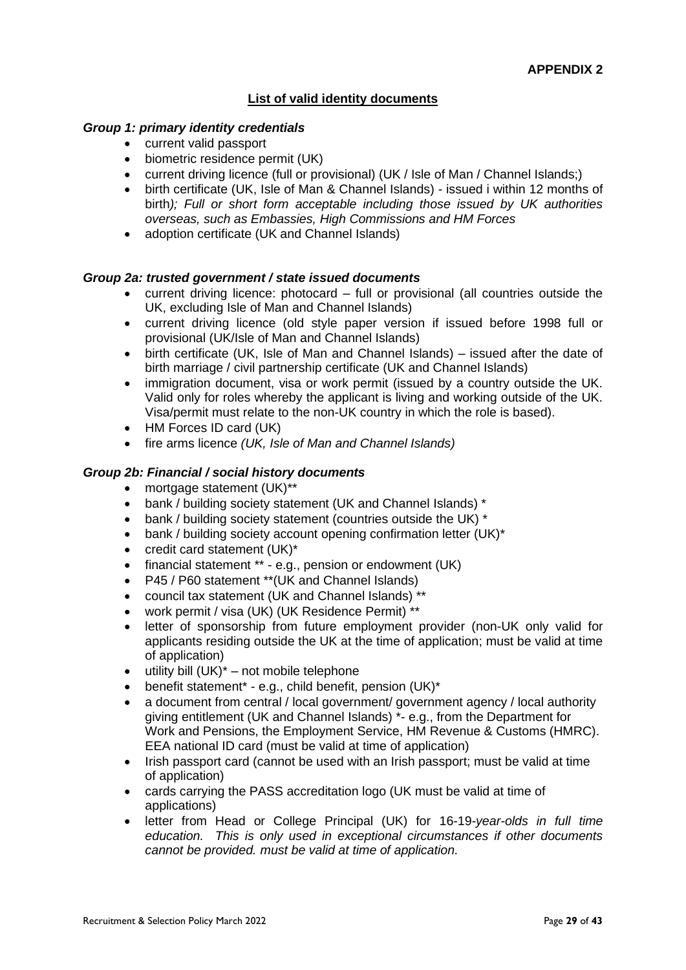# **List of valid identity documents**

## *Group 1: primary identity credentials*

- current valid passport
- biometric residence permit (UK)
- current driving licence (full or provisional) (UK / Isle of Man / Channel Islands;)
- birth certificate (UK, Isle of Man & Channel Islands) issued i within 12 months of birth*); Full or short form acceptable including those issued by UK authorities overseas, such as Embassies, High Commissions and HM Forces*
- adoption certificate (UK and Channel Islands)

#### *Group 2a: trusted government / state issued documents*

- current driving licence: photocard full or provisional (all countries outside the UK, excluding Isle of Man and Channel Islands)
- current driving licence (old style paper version if issued before 1998 full or provisional (UK/Isle of Man and Channel Islands)
- birth certificate (UK, Isle of Man and Channel Islands) issued after the date of birth marriage / civil partnership certificate (UK and Channel Islands)
- immigration document, visa or work permit (issued by a country outside the UK. Valid only for roles whereby the applicant is living and working outside of the UK. Visa/permit must relate to the non-UK country in which the role is based).
- HM Forces ID card (UK)
- fire arms licence *(UK, Isle of Man and Channel Islands)*

# *Group 2b: Financial / social history documents*

- mortgage statement (UK)\*\*
- bank / building society statement (UK and Channel Islands) \*
- bank / building society statement (countries outside the UK)  $*$
- bank / building society account opening confirmation letter (UK)\*
- credit card statement (UK)\*
- financial statement \*\* e.g., pension or endowment (UK)
- P45 / P60 statement \*\*(UK and Channel Islands)
- council tax statement (UK and Channel Islands) \*\*
- work permit / visa (UK) (UK Residence Permit) \*\*
- letter of sponsorship from future employment provider (non-UK only valid for applicants residing outside the UK at the time of application; must be valid at time of application)
- utility bill  $(UK)^*$  not mobile telephone
- benefit statement\* e.g., child benefit, pension (UK)\*
- a document from central / local government/ government agency / local authority giving entitlement (UK and Channel Islands) \*- e.g., from the Department for Work and Pensions, the Employment Service, HM Revenue & Customs (HMRC). EEA national ID card (must be valid at time of application)
- Irish passport card (cannot be used with an Irish passport; must be valid at time of application)
- cards carrying the PASS accreditation logo (UK must be valid at time of applications)
- letter from Head or College Principal (UK) for 16-19*-year-olds in full time education. This is only used in exceptional circumstances if other documents cannot be provided. must be valid at time of application.*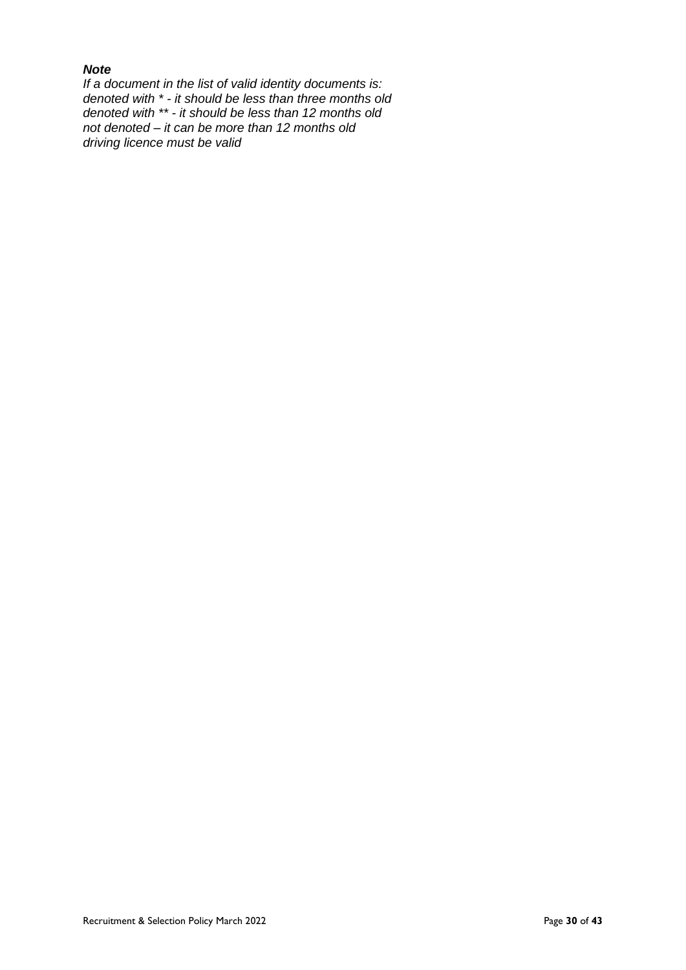# *Note*

*If a document in the list of valid identity documents is: denoted with \* - it should be less than three months old denoted with \*\* - it should be less than 12 months old not denoted – it can be more than 12 months old driving licence must be valid*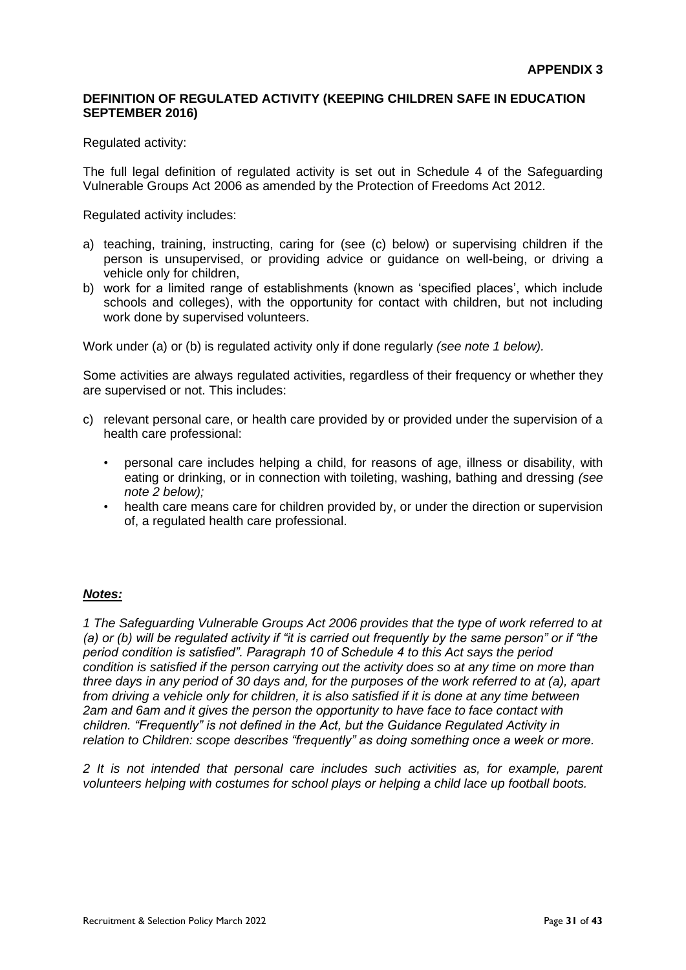# **DEFINITION OF REGULATED ACTIVITY (KEEPING CHILDREN SAFE IN EDUCATION SEPTEMBER 2016)**

#### Regulated activity:

The full legal definition of regulated activity is set out in Schedule 4 of the Safeguarding Vulnerable Groups Act 2006 as amended by the Protection of Freedoms Act 2012.

Regulated activity includes:

- a) teaching, training, instructing, caring for (see (c) below) or supervising children if the person is unsupervised, or providing advice or guidance on well-being, or driving a vehicle only for children,
- b) work for a limited range of establishments (known as 'specified places', which include schools and colleges), with the opportunity for contact with children, but not including work done by supervised volunteers.

Work under (a) or (b) is regulated activity only if done regularly *(see note 1 below).* 

Some activities are always regulated activities, regardless of their frequency or whether they are supervised or not. This includes:

- c) relevant personal care, or health care provided by or provided under the supervision of a health care professional:
	- personal care includes helping a child, for reasons of age, illness or disability, with eating or drinking, or in connection with toileting, washing, bathing and dressing *(see note 2 below);*
	- health care means care for children provided by, or under the direction or supervision of, a regulated health care professional.

#### *Notes:*

*1 The Safeguarding Vulnerable Groups Act 2006 provides that the type of work referred to at (a) or (b) will be regulated activity if "it is carried out frequently by the same person" or if "the period condition is satisfied". Paragraph 10 of Schedule 4 to this Act says the period condition is satisfied if the person carrying out the activity does so at any time on more than three days in any period of 30 days and, for the purposes of the work referred to at (a), apart from driving a vehicle only for children, it is also satisfied if it is done at any time between 2am and 6am and it gives the person the opportunity to have face to face contact with children. "Frequently" is not defined in the Act, but the Guidance Regulated Activity in relation to Children: scope describes "frequently" as doing something once a week or more.* 

*2 It is not intended that personal care includes such activities as, for example, parent volunteers helping with costumes for school plays or helping a child lace up football boots.*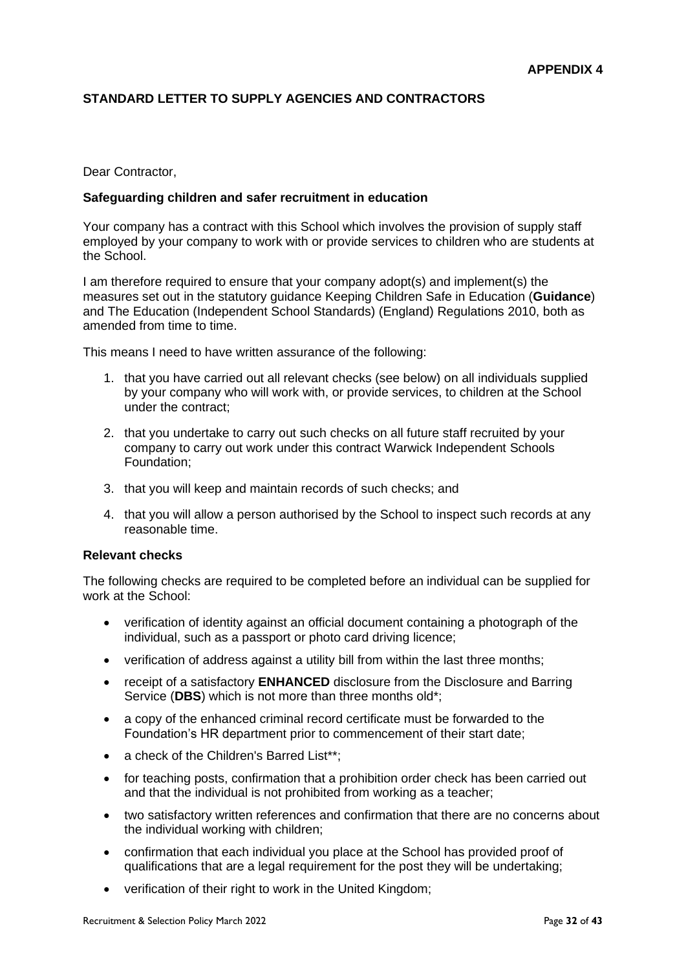# **STANDARD LETTER TO SUPPLY AGENCIES AND CONTRACTORS**

#### Dear Contractor,

#### **Safeguarding children and safer recruitment in education**

Your company has a contract with this School which involves the provision of supply staff employed by your company to work with or provide services to children who are students at the School.

I am therefore required to ensure that your company adopt(s) and implement(s) the measures set out in the statutory guidance Keeping Children Safe in Education (**Guidance**) and The Education (Independent School Standards) (England) Regulations 2010, both as amended from time to time.

This means I need to have written assurance of the following:

- 1. that you have carried out all relevant checks (see below) on all individuals supplied by your company who will work with, or provide services, to children at the School under the contract;
- 2. that you undertake to carry out such checks on all future staff recruited by your company to carry out work under this contract Warwick Independent Schools Foundation;
- 3. that you will keep and maintain records of such checks; and
- 4. that you will allow a person authorised by the School to inspect such records at any reasonable time.

#### **Relevant checks**

The following checks are required to be completed before an individual can be supplied for work at the School:

- verification of identity against an official document containing a photograph of the individual, such as a passport or photo card driving licence;
- verification of address against a utility bill from within the last three months;
- receipt of a satisfactory **ENHANCED** disclosure from the Disclosure and Barring Service (**DBS**) which is not more than three months old\*;
- a copy of the enhanced criminal record certificate must be forwarded to the Foundation's HR department prior to commencement of their start date;
- a check of the Children's Barred List\*\*:
- for teaching posts, confirmation that a prohibition order check has been carried out and that the individual is not prohibited from working as a teacher;
- two satisfactory written references and confirmation that there are no concerns about the individual working with children;
- confirmation that each individual you place at the School has provided proof of qualifications that are a legal requirement for the post they will be undertaking;
- verification of their right to work in the United Kingdom;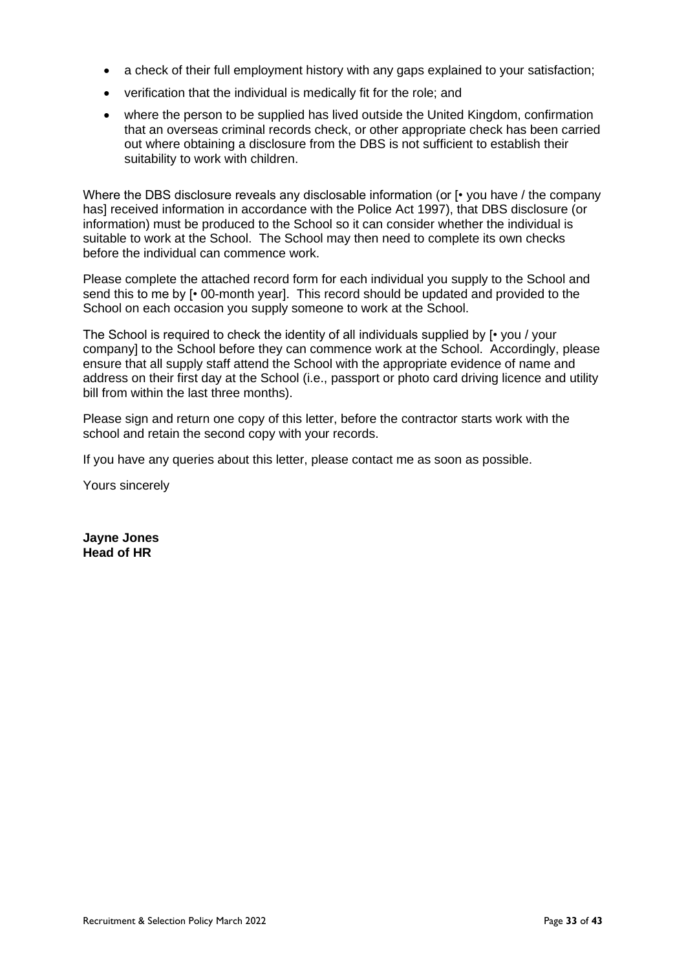- a check of their full employment history with any gaps explained to your satisfaction;
- verification that the individual is medically fit for the role; and
- where the person to be supplied has lived outside the United Kingdom, confirmation that an overseas criminal records check, or other appropriate check has been carried out where obtaining a disclosure from the DBS is not sufficient to establish their suitability to work with children.

Where the DBS disclosure reveals any disclosable information (or  $[•]$  you have / the company has] received information in accordance with the Police Act 1997), that DBS disclosure (or information) must be produced to the School so it can consider whether the individual is suitable to work at the School. The School may then need to complete its own checks before the individual can commence work.

Please complete the attached record form for each individual you supply to the School and send this to me by [• 00-month year]. This record should be updated and provided to the School on each occasion you supply someone to work at the School.

The School is required to check the identity of all individuals supplied by  $[•]$  you / your company] to the School before they can commence work at the School. Accordingly, please ensure that all supply staff attend the School with the appropriate evidence of name and address on their first day at the School (i.e., passport or photo card driving licence and utility bill from within the last three months).

Please sign and return one copy of this letter, before the contractor starts work with the school and retain the second copy with your records.

If you have any queries about this letter, please contact me as soon as possible.

Yours sincerely

**Jayne Jones Head of HR**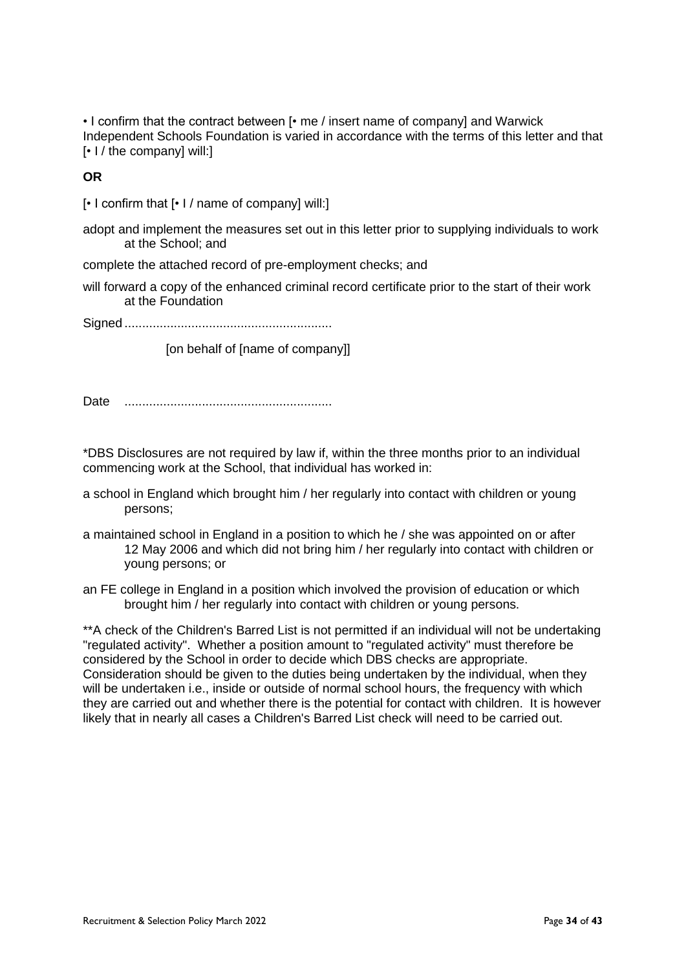• I confirm that the contract between [• me / insert name of company] and Warwick Independent Schools Foundation is varied in accordance with the terms of this letter and that [• I / the company] will:]

**OR**

[• I confirm that [• I / name of company] will:]

adopt and implement the measures set out in this letter prior to supplying individuals to work at the School; and

complete the attached record of pre-employment checks; and

will forward a copy of the enhanced criminal record certificate prior to the start of their work at the Foundation

Signed ...........................................................

[on behalf of [name of company]]

Date ...........................................................

\*DBS Disclosures are not required by law if, within the three months prior to an individual commencing work at the School, that individual has worked in:

- a school in England which brought him / her regularly into contact with children or young persons;
- a maintained school in England in a position to which he / she was appointed on or after 12 May 2006 and which did not bring him / her regularly into contact with children or young persons; or
- an FE college in England in a position which involved the provision of education or which brought him / her regularly into contact with children or young persons.

\*\*A check of the Children's Barred List is not permitted if an individual will not be undertaking "regulated activity". Whether a position amount to "regulated activity" must therefore be considered by the School in order to decide which DBS checks are appropriate. Consideration should be given to the duties being undertaken by the individual, when they will be undertaken i.e., inside or outside of normal school hours, the frequency with which they are carried out and whether there is the potential for contact with children. It is however likely that in nearly all cases a Children's Barred List check will need to be carried out.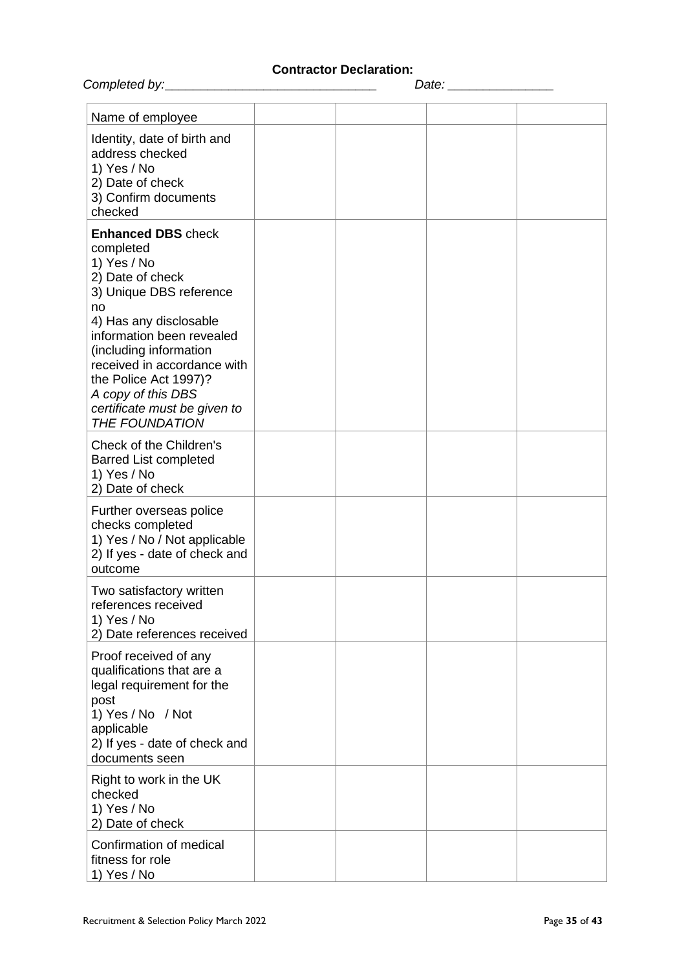# **Contractor Declaration:**

|                                                                                                                                                                                                                                                                                                                                    |  | Date: ______________ |  |
|------------------------------------------------------------------------------------------------------------------------------------------------------------------------------------------------------------------------------------------------------------------------------------------------------------------------------------|--|----------------------|--|
| Name of employee                                                                                                                                                                                                                                                                                                                   |  |                      |  |
| Identity, date of birth and<br>address checked<br>1) Yes / No<br>2) Date of check<br>3) Confirm documents<br>checked                                                                                                                                                                                                               |  |                      |  |
| <b>Enhanced DBS check</b><br>completed<br>1) Yes / No<br>2) Date of check<br>3) Unique DBS reference<br>no<br>4) Has any disclosable<br>information been revealed<br>(including information<br>received in accordance with<br>the Police Act 1997)?<br>A copy of this DBS<br>certificate must be given to<br><b>THE FOUNDATION</b> |  |                      |  |
| Check of the Children's<br><b>Barred List completed</b><br>1) Yes / No<br>2) Date of check                                                                                                                                                                                                                                         |  |                      |  |
| Further overseas police<br>checks completed<br>1) Yes / No / Not applicable<br>2) If yes - date of check and<br>outcome                                                                                                                                                                                                            |  |                      |  |
| Two satisfactory written<br>references received<br>1) Yes / No<br>2) Date references received                                                                                                                                                                                                                                      |  |                      |  |
| Proof received of any<br>qualifications that are a<br>legal requirement for the<br>post<br>1) Yes / No / Not<br>applicable<br>2) If yes - date of check and<br>documents seen                                                                                                                                                      |  |                      |  |
| Right to work in the UK<br>checked<br>1) Yes / No<br>2) Date of check                                                                                                                                                                                                                                                              |  |                      |  |
| Confirmation of medical<br>fitness for role<br>1) Yes / No                                                                                                                                                                                                                                                                         |  |                      |  |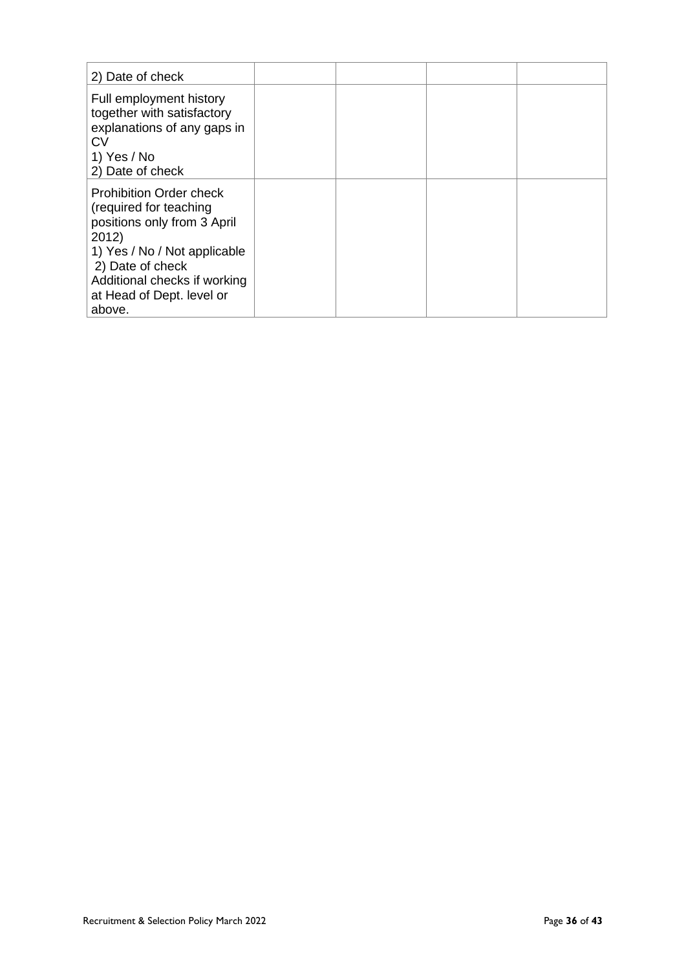| 2) Date of check                                                                                                                                                                                                            |  |  |
|-----------------------------------------------------------------------------------------------------------------------------------------------------------------------------------------------------------------------------|--|--|
| Full employment history<br>together with satisfactory<br>explanations of any gaps in<br><b>CV</b><br>1) Yes / No<br>2) Date of check                                                                                        |  |  |
| <b>Prohibition Order check</b><br>(required for teaching<br>positions only from 3 April<br>2012)<br>1) Yes / No / Not applicable<br>2) Date of check<br>Additional checks if working<br>at Head of Dept. level or<br>above. |  |  |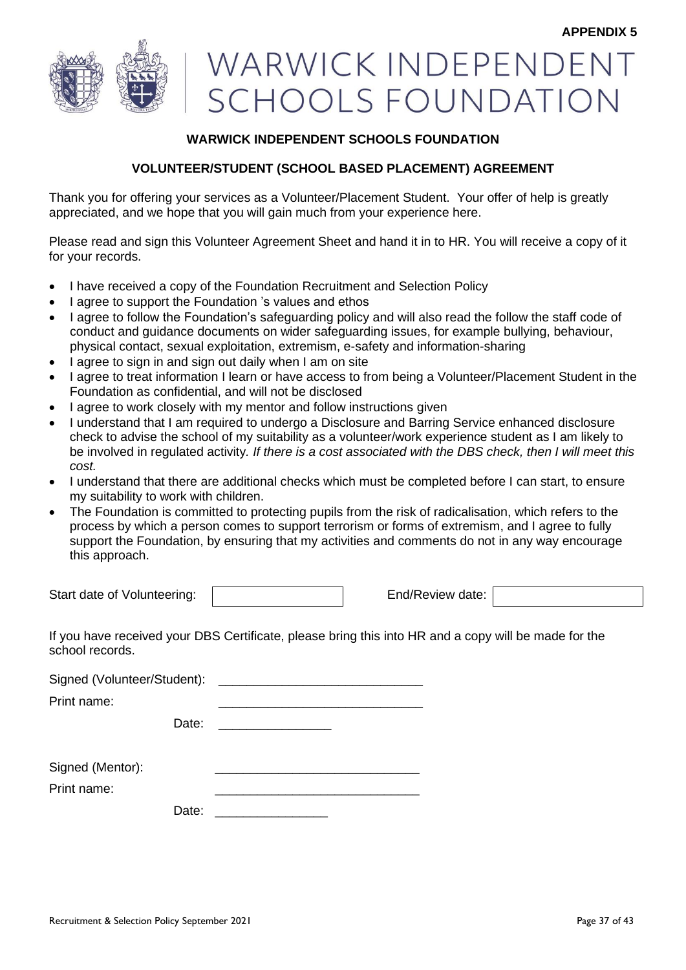

# WARWICK INDEPENDEN **SCHOOLS FOUNDATION**

# **WARWICK INDEPENDENT SCHOOLS FOUNDATION**

# **VOLUNTEER/STUDENT (SCHOOL BASED PLACEMENT) AGREEMENT**

Thank you for offering your services as a Volunteer/Placement Student. Your offer of help is greatly appreciated, and we hope that you will gain much from your experience here.

Please read and sign this Volunteer Agreement Sheet and hand it in to HR. You will receive a copy of it for your records.

- I have received a copy of the Foundation Recruitment and Selection Policy
- I agree to support the Foundation 's values and ethos
- I agree to follow the Foundation's safeguarding policy and will also read the follow the staff code of conduct and guidance documents on wider safeguarding issues, for example bullying, behaviour, physical contact, sexual exploitation, extremism, e-safety and information-sharing
- I agree to sign in and sign out daily when I am on site
- I agree to treat information I learn or have access to from being a Volunteer/Placement Student in the Foundation as confidential, and will not be disclosed
- I agree to work closely with my mentor and follow instructions given
- I understand that I am required to undergo a Disclosure and Barring Service enhanced disclosure check to advise the school of my suitability as a volunteer/work experience student as I am likely to be involved in regulated activity*. If there is a cost associated with the DBS check, then I will meet this cost.*
- I understand that there are additional checks which must be completed before I can start, to ensure my suitability to work with children.
- The Foundation is committed to protecting pupils from the risk of radicalisation, which refers to the process by which a person comes to support terrorism or forms of extremism, and I agree to fully support the Foundation, by ensuring that my activities and comments do not in any way encourage this approach.

Start date of Volunteering: End/Review date:

If you have received your DBS Certificate, please bring this into HR and a copy will be made for the school records.

Signed (Volunteer/Student):

Print name:

Date:

Signed (Mentor):

Print name:

Date: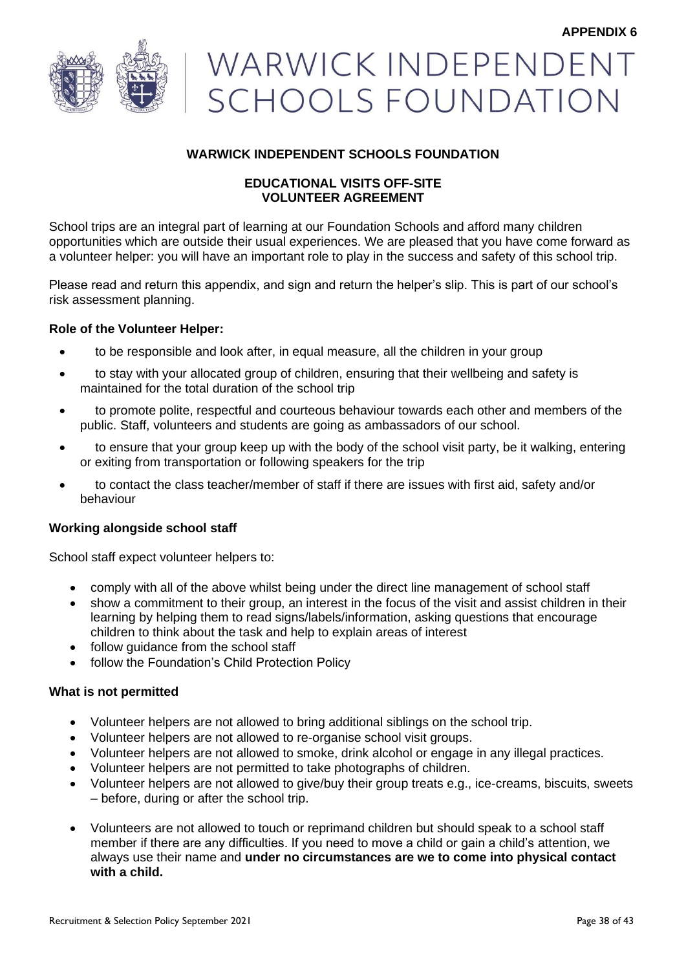

# WARWICK INDEPENDENT **SCHOOLS FOUNDATION**

# **WARWICK INDEPENDENT SCHOOLS FOUNDATION**

# **EDUCATIONAL VISITS OFF-SITE VOLUNTEER AGREEMENT**

School trips are an integral part of learning at our Foundation Schools and afford many children opportunities which are outside their usual experiences. We are pleased that you have come forward as a volunteer helper: you will have an important role to play in the success and safety of this school trip.

Please read and return this appendix, and sign and return the helper's slip. This is part of our school's risk assessment planning.

# **Role of the Volunteer Helper:**

- to be responsible and look after, in equal measure, all the children in your group
- to stay with your allocated group of children, ensuring that their wellbeing and safety is maintained for the total duration of the school trip
- to promote polite, respectful and courteous behaviour towards each other and members of the public. Staff, volunteers and students are going as ambassadors of our school.
- to ensure that your group keep up with the body of the school visit party, be it walking, entering or exiting from transportation or following speakers for the trip
- to contact the class teacher/member of staff if there are issues with first aid, safety and/or behaviour

# **Working alongside school staff**

School staff expect volunteer helpers to:

- comply with all of the above whilst being under the direct line management of school staff
- show a commitment to their group, an interest in the focus of the visit and assist children in their learning by helping them to read signs/labels/information, asking questions that encourage children to think about the task and help to explain areas of interest
- follow guidance from the school staff
- follow the Foundation's Child Protection Policy

#### **What is not permitted**

- Volunteer helpers are not allowed to bring additional siblings on the school trip.
- Volunteer helpers are not allowed to re-organise school visit groups.
- Volunteer helpers are not allowed to smoke, drink alcohol or engage in any illegal practices.
- Volunteer helpers are not permitted to take photographs of children.
- Volunteer helpers are not allowed to give/buy their group treats e.g., ice-creams, biscuits, sweets – before, during or after the school trip.
- Volunteers are not allowed to touch or reprimand children but should speak to a school staff member if there are any difficulties. If you need to move a child or gain a child's attention, we always use their name and **under no circumstances are we to come into physical contact with a child.**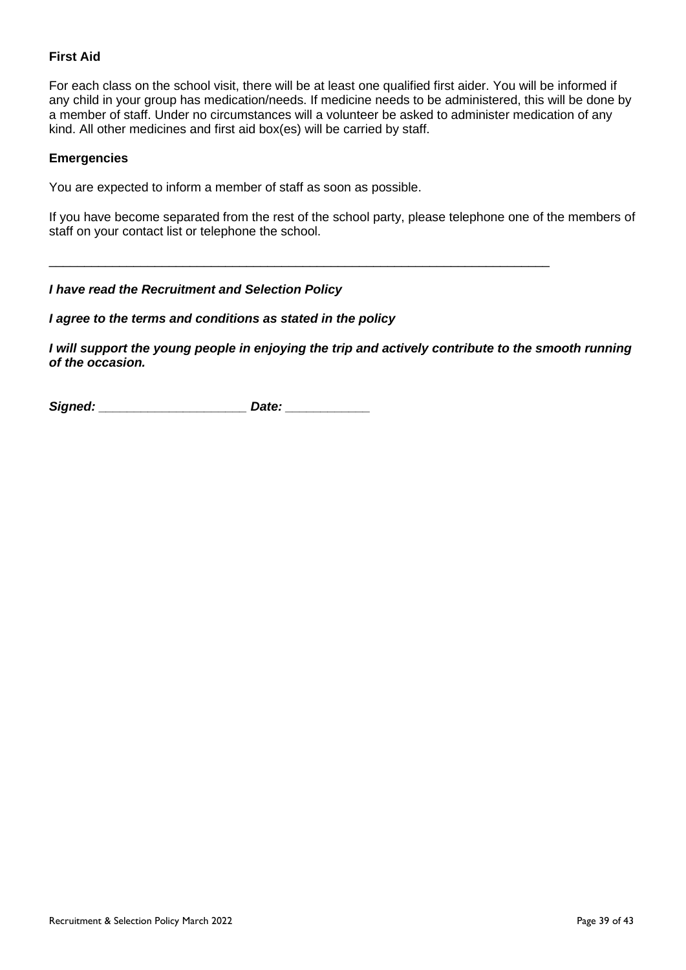# **First Aid**

For each class on the school visit, there will be at least one qualified first aider. You will be informed if any child in your group has medication/needs. If medicine needs to be administered, this will be done by a member of staff. Under no circumstances will a volunteer be asked to administer medication of any kind. All other medicines and first aid box(es) will be carried by staff.

#### **Emergencies**

You are expected to inform a member of staff as soon as possible.

If you have become separated from the rest of the school party, please telephone one of the members of staff on your contact list or telephone the school.

\_\_\_\_\_\_\_\_\_\_\_\_\_\_\_\_\_\_\_\_\_\_\_\_\_\_\_\_\_\_\_\_\_\_\_\_\_\_\_\_\_\_\_\_\_\_\_\_\_\_\_\_\_\_\_\_\_\_\_\_\_\_\_\_\_\_\_\_\_\_\_

#### *I have read the Recruitment and Selection Policy*

#### *I agree to the terms and conditions as stated in the policy*

*I will support the young people in enjoying the trip and actively contribute to the smooth running of the occasion.*

Signed: **and Signed: and Signed:** *Date:**Date:**\_\_\_\_\_\_\_\_\_\_\_\_\_\_\_\_\_\_\_\_\_\_\_\_\_\_*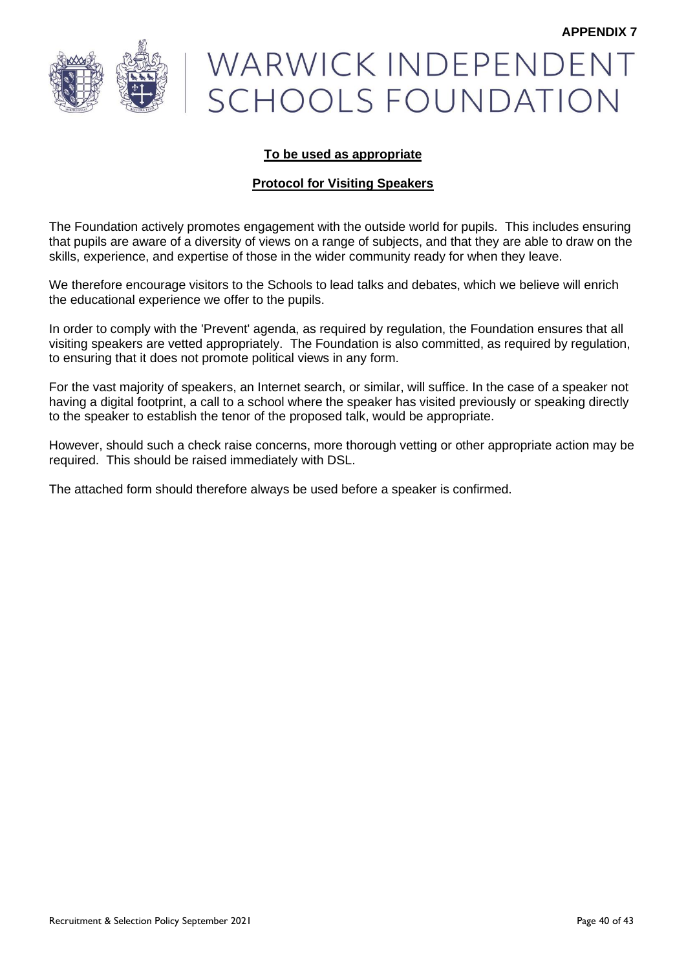

# WARWICK INDEPENDENT **SCHOOLS FOUNDATION**

# **To be used as appropriate**

# **Protocol for Visiting Speakers**

The Foundation actively promotes engagement with the outside world for pupils. This includes ensuring that pupils are aware of a diversity of views on a range of subjects, and that they are able to draw on the skills, experience, and expertise of those in the wider community ready for when they leave.

We therefore encourage visitors to the Schools to lead talks and debates, which we believe will enrich the educational experience we offer to the pupils.

In order to comply with the 'Prevent' agenda, as required by regulation, the Foundation ensures that all visiting speakers are vetted appropriately. The Foundation is also committed, as required by regulation, to ensuring that it does not promote political views in any form.

For the vast majority of speakers, an Internet search, or similar, will suffice. In the case of a speaker not having a digital footprint, a call to a school where the speaker has visited previously or speaking directly to the speaker to establish the tenor of the proposed talk, would be appropriate.

However, should such a check raise concerns, more thorough vetting or other appropriate action may be required. This should be raised immediately with DSL.

The attached form should therefore always be used before a speaker is confirmed.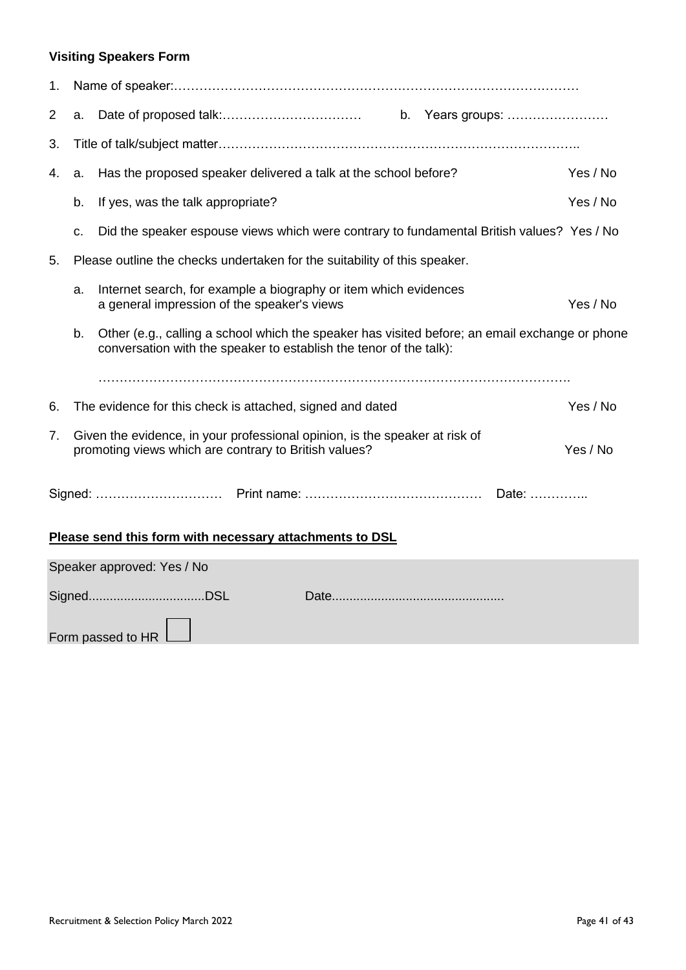# **Visiting Speakers Form**

| 1. |                                                                           |                                                                                                                                                                      |          |  |  |  |  |  |
|----|---------------------------------------------------------------------------|----------------------------------------------------------------------------------------------------------------------------------------------------------------------|----------|--|--|--|--|--|
| 2  | a.                                                                        |                                                                                                                                                                      |          |  |  |  |  |  |
| 3. |                                                                           |                                                                                                                                                                      |          |  |  |  |  |  |
| 4. | a.                                                                        | Yes / No                                                                                                                                                             |          |  |  |  |  |  |
|    | b.                                                                        | If yes, was the talk appropriate?                                                                                                                                    | Yes / No |  |  |  |  |  |
|    | c.                                                                        | Did the speaker espouse views which were contrary to fundamental British values? Yes / No                                                                            |          |  |  |  |  |  |
| 5. | Please outline the checks undertaken for the suitability of this speaker. |                                                                                                                                                                      |          |  |  |  |  |  |
|    | a.                                                                        | Internet search, for example a biography or item which evidences<br>a general impression of the speaker's views                                                      | Yes / No |  |  |  |  |  |
|    | b.                                                                        | Other (e.g., calling a school which the speaker has visited before; an email exchange or phone<br>conversation with the speaker to establish the tenor of the talk): |          |  |  |  |  |  |
|    |                                                                           |                                                                                                                                                                      |          |  |  |  |  |  |
| 6. |                                                                           | The evidence for this check is attached, signed and dated                                                                                                            | Yes / No |  |  |  |  |  |
| 7. |                                                                           | Given the evidence, in your professional opinion, is the speaker at risk of<br>promoting views which are contrary to British values?                                 | Yes / No |  |  |  |  |  |
|    |                                                                           |                                                                                                                                                                      |          |  |  |  |  |  |
|    |                                                                           | Please send this form with necessary attachments to DSL                                                                                                              |          |  |  |  |  |  |
|    |                                                                           | Speaker approved: Yes / No                                                                                                                                           |          |  |  |  |  |  |
|    |                                                                           |                                                                                                                                                                      |          |  |  |  |  |  |

Form passed to HR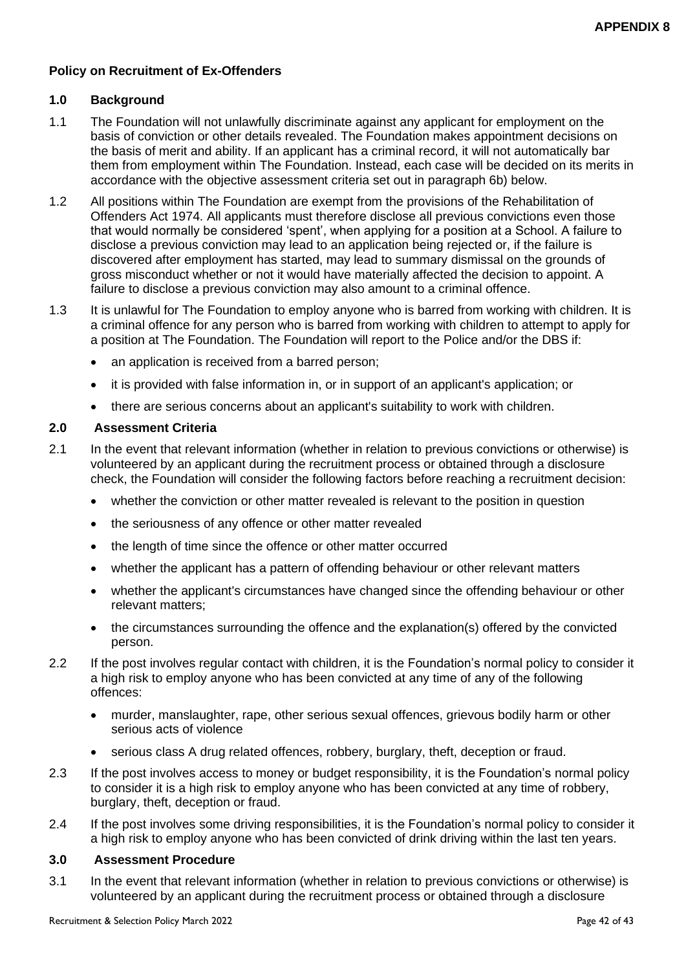# **Policy on Recruitment of Ex-Offenders**

# **1.0 Background**

- 1.1 The Foundation will not unlawfully discriminate against any applicant for employment on the basis of conviction or other details revealed. The Foundation makes appointment decisions on the basis of merit and ability. If an applicant has a criminal record, it will not automatically bar them from employment within The Foundation. Instead, each case will be decided on its merits in accordance with the objective assessment criteria set out in paragraph 6b) below.
- 1.2 All positions within The Foundation are exempt from the provisions of the Rehabilitation of Offenders Act 1974. All applicants must therefore disclose all previous convictions even those that would normally be considered 'spent', when applying for a position at a School. A failure to disclose a previous conviction may lead to an application being rejected or, if the failure is discovered after employment has started, may lead to summary dismissal on the grounds of gross misconduct whether or not it would have materially affected the decision to appoint. A failure to disclose a previous conviction may also amount to a criminal offence.
- 1.3 It is unlawful for The Foundation to employ anyone who is barred from working with children. It is a criminal offence for any person who is barred from working with children to attempt to apply for a position at The Foundation. The Foundation will report to the Police and/or the DBS if:
	- an application is received from a barred person:
	- it is provided with false information in, or in support of an applicant's application; or
	- there are serious concerns about an applicant's suitability to work with children.

# **2.0 Assessment Criteria**

- 2.1 In the event that relevant information (whether in relation to previous convictions or otherwise) is volunteered by an applicant during the recruitment process or obtained through a disclosure check, the Foundation will consider the following factors before reaching a recruitment decision:
	- whether the conviction or other matter revealed is relevant to the position in question
	- the seriousness of any offence or other matter revealed
	- the length of time since the offence or other matter occurred
	- whether the applicant has a pattern of offending behaviour or other relevant matters
	- whether the applicant's circumstances have changed since the offending behaviour or other relevant matters;
	- the circumstances surrounding the offence and the explanation(s) offered by the convicted person.
- 2.2 If the post involves regular contact with children, it is the Foundation's normal policy to consider it a high risk to employ anyone who has been convicted at any time of any of the following offences:
	- murder, manslaughter, rape, other serious sexual offences, grievous bodily harm or other serious acts of violence
	- serious class A drug related offences, robbery, burglary, theft, deception or fraud.
- 2.3 If the post involves access to money or budget responsibility, it is the Foundation's normal policy to consider it is a high risk to employ anyone who has been convicted at any time of robbery, burglary, theft, deception or fraud.
- 2.4 If the post involves some driving responsibilities, it is the Foundation's normal policy to consider it a high risk to employ anyone who has been convicted of drink driving within the last ten years.

#### **3.0 Assessment Procedure**

3.1 In the event that relevant information (whether in relation to previous convictions or otherwise) is volunteered by an applicant during the recruitment process or obtained through a disclosure